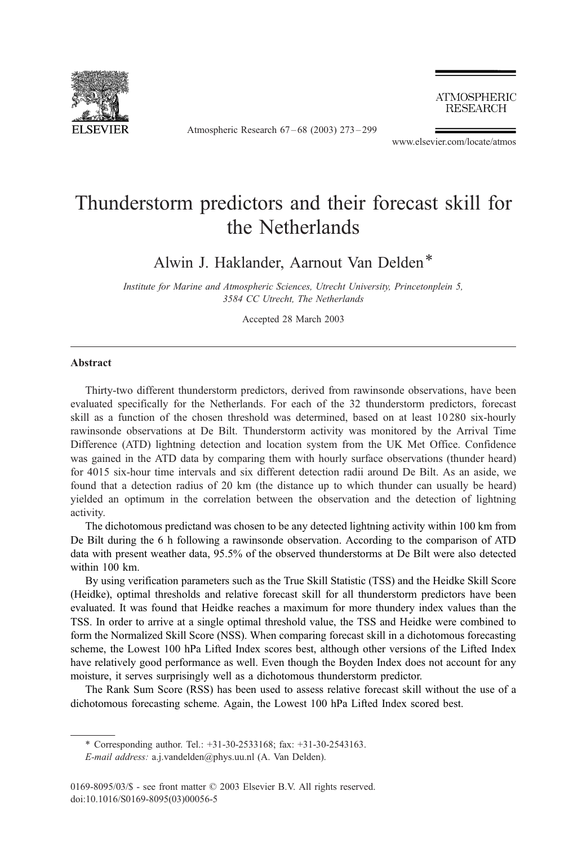

Atmospheric Research 67 – 68 (2003) 273 – 299

**ATMOSPHERIC RESEARCH** 

www.elsevier.com/locate/atmos

# Thunderstorm predictors and their forecast skill for the Netherlands

Alwin J. Haklander, Aarnout Van Delden\*

Institute for Marine and Atmospheric Sciences, Utrecht University, Princetonplein 5, 3584 CC Utrecht, The Netherlands

Accepted 28 March 2003

#### Abstract

Thirty-two different thunderstorm predictors, derived from rawinsonde observations, have been evaluated specifically for the Netherlands. For each of the 32 thunderstorm predictors, forecast skill as a function of the chosen threshold was determined, based on at least 10 280 six-hourly rawinsonde observations at De Bilt. Thunderstorm activity was monitored by the Arrival Time Difference (ATD) lightning detection and location system from the UK Met Office. Confidence was gained in the ATD data by comparing them with hourly surface observations (thunder heard) for 4015 six-hour time intervals and six different detection radii around De Bilt. As an aside, we found that a detection radius of 20 km (the distance up to which thunder can usually be heard) yielded an optimum in the correlation between the observation and the detection of lightning activity.

The dichotomous predictand was chosen to be any detected lightning activity within 100 km from De Bilt during the 6 h following a rawinsonde observation. According to the comparison of ATD data with present weather data, 95.5% of the observed thunderstorms at De Bilt were also detected within 100 km.

By using verification parameters such as the True Skill Statistic (TSS) and the Heidke Skill Score (Heidke), optimal thresholds and relative forecast skill for all thunderstorm predictors have been evaluated. It was found that Heidke reaches a maximum for more thundery index values than the TSS. In order to arrive at a single optimal threshold value, the TSS and Heidke were combined to form the Normalized Skill Score (NSS). When comparing forecast skill in a dichotomous forecasting scheme, the Lowest 100 hPa Lifted Index scores best, although other versions of the Lifted Index have relatively good performance as well. Even though the Boyden Index does not account for any moisture, it serves surprisingly well as a dichotomous thunderstorm predictor.

The Rank Sum Score (RSS) has been used to assess relative forecast skill without the use of a dichotomous forecasting scheme. Again, the Lowest 100 hPa Lifted Index scored best.

<sup>\*</sup> Corresponding author. Tel.: +31-30-2533168; fax: +31-30-2543163.

E-mail address: a.j.vandelden@phys.uu.nl (A. Van Delden).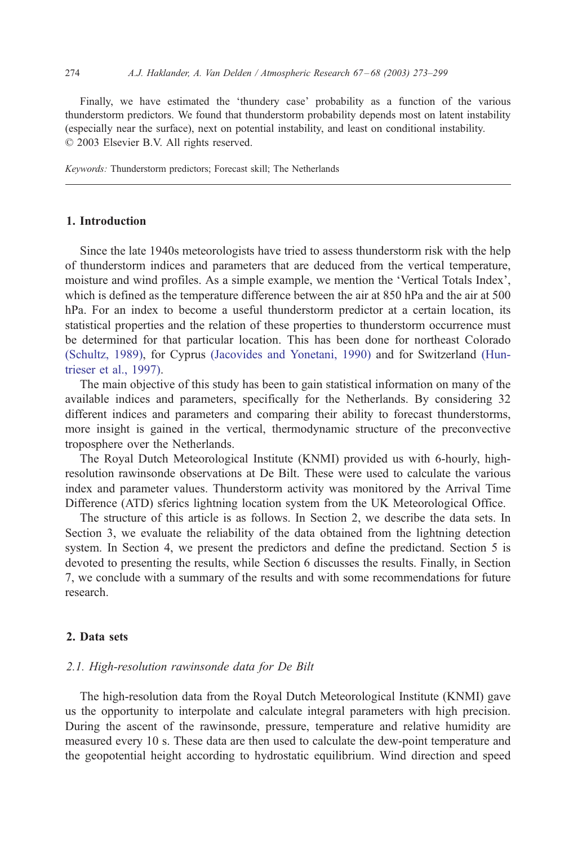Finally, we have estimated the 'thundery case' probability as a function of the various thunderstorm predictors. We found that thunderstorm probability depends most on latent instability (especially near the surface), next on potential instability, and least on conditional instability.  $© 2003 Elsevier B.V. All rights reserved.$ 

Keywords: Thunderstorm predictors; Forecast skill; The Netherlands

## 1. Introduction

Since the late 1940s meteorologists have tried to assess thunderstorm risk with the help of thunderstorm indices and parameters that are deduced from the vertical temperature, moisture and wind profiles. As a simple example, we mention the 'Vertical Totals Index', which is defined as the temperature difference between the air at 850 hPa and the air at 500 hPa. For an index to become a useful thunderstorm predictor at a certain location, its statistical properties and the relation of these properties to thunderstorm occurrence must be determined for that particular location. This has been done for northeast Colorado [\(Schultz, 1989\),](#page-26-0) for Cyprus [\(Jacovides and Yonetani, 1990\)](#page-26-0) and for Switzerland [\(Hun](#page-26-0)trieser et al., 1997).

The main objective of this study has been to gain statistical information on many of the available indices and parameters, specifically for the Netherlands. By considering 32 different indices and parameters and comparing their ability to forecast thunderstorms, more insight is gained in the vertical, thermodynamic structure of the preconvective troposphere over the Netherlands.

The Royal Dutch Meteorological Institute (KNMI) provided us with 6-hourly, highresolution rawinsonde observations at De Bilt. These were used to calculate the various index and parameter values. Thunderstorm activity was monitored by the Arrival Time Difference (ATD) sferics lightning location system from the UK Meteorological Office.

The structure of this article is as follows. In Section 2, we describe the data sets. In Section 3, we evaluate the reliability of the data obtained from the lightning detection system. In Section 4, we present the predictors and define the predictand. Section 5 is devoted to presenting the results, while Section 6 discusses the results. Finally, in Section 7, we conclude with a summary of the results and with some recommendations for future research.

## 2. Data sets

## 2.1. High-resolution rawinsonde data for De Bilt

The high-resolution data from the Royal Dutch Meteorological Institute (KNMI) gave us the opportunity to interpolate and calculate integral parameters with high precision. During the ascent of the rawinsonde, pressure, temperature and relative humidity are measured every 10 s. These data are then used to calculate the dew-point temperature and the geopotential height according to hydrostatic equilibrium. Wind direction and speed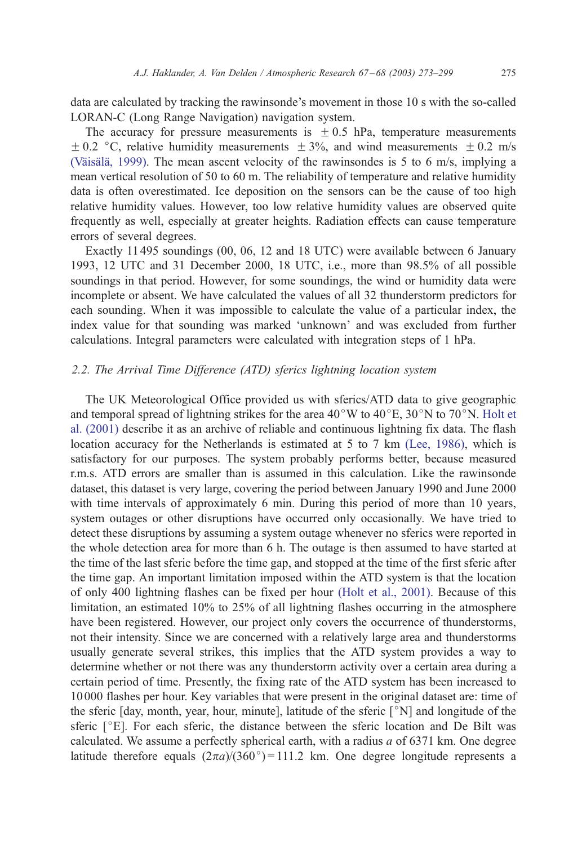data are calculated by tracking the rawinsonde's movement in those 10 s with the so-called LORAN-C (Long Range Navigation) navigation system.

The accuracy for pressure measurements is  $\pm 0.5$  hPa, temperature measurements  $\pm$  0.2 °C, relative humidity measurements  $\pm$  3%, and wind measurements  $\pm$  0.2 m/s (Väisälä, 1999). The mean ascent velocity of the rawinsondes is 5 to 6 m/s, implying a mean vertical resolution of 50 to 60 m. The reliability of temperature and relative humidity data is often overestimated. Ice deposition on the sensors can be the cause of too high relative humidity values. However, too low relative humidity values are observed quite frequently as well, especially at greater heights. Radiation effects can cause temperature errors of several degrees.

Exactly 11 495 soundings (00, 06, 12 and 18 UTC) were available between 6 January 1993, 12 UTC and 31 December 2000, 18 UTC, i.e., more than 98.5% of all possible soundings in that period. However, for some soundings, the wind or humidity data were incomplete or absent. We have calculated the values of all 32 thunderstorm predictors for each sounding. When it was impossible to calculate the value of a particular index, the index value for that sounding was marked 'unknown' and was excluded from further calculations. Integral parameters were calculated with integration steps of 1 hPa.

## 2.2. The Arrival Time Difference (ATD) sferics lightning location system

The UK Meteorological Office provided us with sferics/ATD data to give geographic and temporal spread of lightning strikes for the area  $40^{\circ}$ W to  $40^{\circ}$ E,  $30^{\circ}$ N to 70 $^{\circ}$ N. [Holt et](#page-26-0) al. (2001) describe it as an archive of reliable and continuous lightning fix data. The flash location accuracy for the Netherlands is estimated at 5 to 7 km [\(Lee, 1986\),](#page-26-0) which is satisfactory for our purposes. The system probably performs better, because measured r.m.s. ATD errors are smaller than is assumed in this calculation. Like the rawinsonde dataset, this dataset is very large, covering the period between January 1990 and June 2000 with time intervals of approximately 6 min. During this period of more than 10 years, system outages or other disruptions have occurred only occasionally. We have tried to detect these disruptions by assuming a system outage whenever no sferics were reported in the whole detection area for more than 6 h. The outage is then assumed to have started at the time of the last sferic before the time gap, and stopped at the time of the first sferic after the time gap. An important limitation imposed within the ATD system is that the location of only 400 lightning flashes can be fixed per hour [\(Holt et al., 2001\).](#page-26-0) Because of this limitation, an estimated 10% to 25% of all lightning flashes occurring in the atmosphere have been registered. However, our project only covers the occurrence of thunderstorms, not their intensity. Since we are concerned with a relatively large area and thunderstorms usually generate several strikes, this implies that the ATD system provides a way to determine whether or not there was any thunderstorm activity over a certain area during a certain period of time. Presently, the fixing rate of the ATD system has been increased to 10 000 flashes per hour. Key variables that were present in the original dataset are: time of the sferic [day, month, year, hour, minute], latitude of the sferic  $\lceil \degree N \rceil$  and longitude of the sferic  $[°E]$ . For each sferic, the distance between the sferic location and De Bilt was calculated. We assume a perfectly spherical earth, with a radius  $a$  of 6371 km. One degree latitude therefore equals  $(2\pi a)/(360^\circ) = 111.2$  km. One degree longitude represents a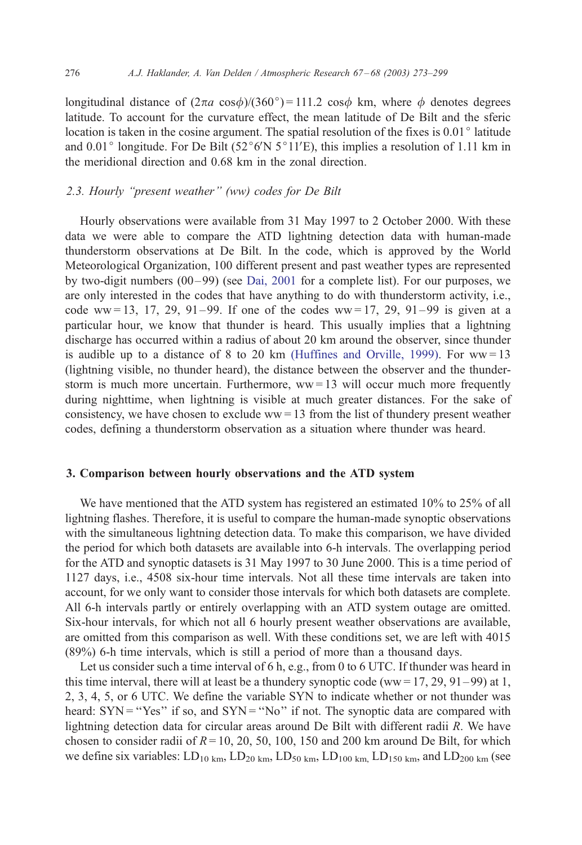longitudinal distance of  $(2\pi a \cos\phi)/(360^\circ) = 111.2 \cos\phi$  km, where  $\phi$  denotes degrees latitude. To account for the curvature effect, the mean latitude of De Bilt and the sferic location is taken in the cosine argument. The spatial resolution of the fixes is  $0.01^\circ$  latitude and 0.01<sup>°</sup> longitude. For De Bilt (52<sup>°</sup>6′N 5<sup>°</sup>11′E), this implies a resolution of 1.11 km in the meridional direction and 0.68 km in the zonal direction.

## 2.3. Hourly ''present weather'' (ww) codes for De Bilt

Hourly observations were available from 31 May 1997 to 2 October 2000. With these data we were able to compare the ATD lightning detection data with human-made thunderstorm observations at De Bilt. In the code, which is approved by the World Meteorological Organization, 100 different present and past weather types are represented by two-digit numbers  $(00-99)$  (see [Dai, 2001](#page-26-0) for a complete list). For our purposes, we are only interested in the codes that have anything to do with thunderstorm activity, i.e., code ww = 13, 17, 29, 91-99. If one of the codes ww = 17, 29, 91-99 is given at a particular hour, we know that thunder is heard. This usually implies that a lightning discharge has occurred within a radius of about 20 km around the observer, since thunder is audible up to a distance of 8 to 20 km [\(Huffines and Orville, 1999\).](#page-26-0) For  $ww = 13$ (lightning visible, no thunder heard), the distance between the observer and the thunderstorm is much more uncertain. Furthermore, ww = 13 will occur much more frequently during nighttime, when lightning is visible at much greater distances. For the sake of consistency, we have chosen to exclude  $ww = 13$  from the list of thundery present weather codes, defining a thunderstorm observation as a situation where thunder was heard.

#### 3. Comparison between hourly observations and the ATD system

We have mentioned that the ATD system has registered an estimated 10% to 25% of all lightning flashes. Therefore, it is useful to compare the human-made synoptic observations with the simultaneous lightning detection data. To make this comparison, we have divided the period for which both datasets are available into 6-h intervals. The overlapping period for the ATD and synoptic datasets is 31 May 1997 to 30 June 2000. This is a time period of 1127 days, i.e., 4508 six-hour time intervals. Not all these time intervals are taken into account, for we only want to consider those intervals for which both datasets are complete. All 6-h intervals partly or entirely overlapping with an ATD system outage are omitted. Six-hour intervals, for which not all 6 hourly present weather observations are available, are omitted from this comparison as well. With these conditions set, we are left with 4015 (89%) 6-h time intervals, which is still a period of more than a thousand days.

Let us consider such a time interval of 6 h, e.g., from 0 to 6 UTC. If thunder was heard in this time interval, there will at least be a thundery synoptic code (ww =  $17, 29, 91-99$ ) at 1, 2, 3, 4, 5, or 6 UTC. We define the variable SYN to indicate whether or not thunder was heard:  $SYN = "Yes"$  if so, and  $SYN = "No"$  if not. The synoptic data are compared with lightning detection data for circular areas around De Bilt with different radii R. We have chosen to consider radii of  $R = 10, 20, 50, 100, 150$  and 200 km around De Bilt, for which we define six variables:  $LD_{10 \text{ km}}$ ,  $LD_{20 \text{ km}}$ ,  $LD_{50 \text{ km}}$ ,  $LD_{100 \text{ km}}$ ,  $LD_{150 \text{ km}}$ , and  $LD_{200 \text{ km}}$  (see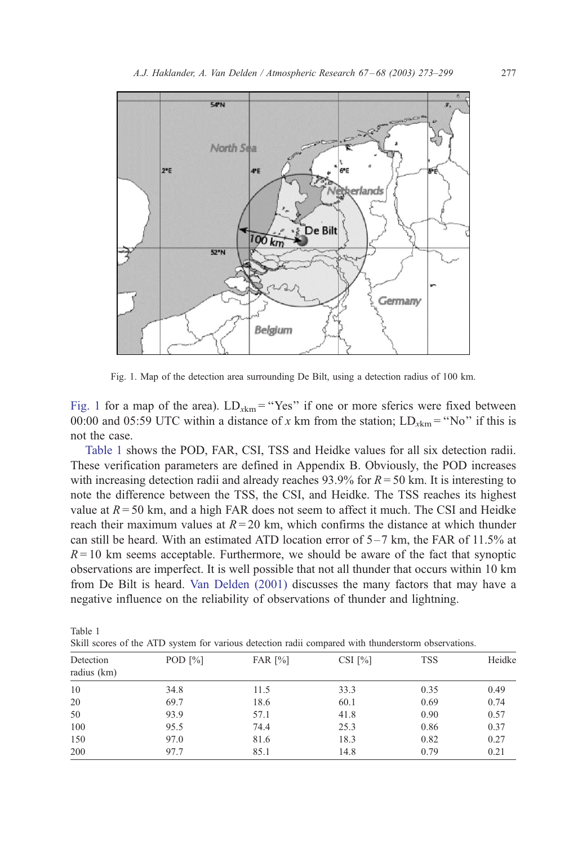<span id="page-4-0"></span>

Fig. 1. Map of the detection area surrounding De Bilt, using a detection radius of 100 km.

Fig. 1 for a map of the area).  $LD_{xkm} = "Yes"$  if one or more sferics were fixed between 00:00 and 05:59 UTC within a distance of x km from the station;  $LD_{xkm} = "No"$  if this is not the case.

Table 1 shows the POD, FAR, CSI, TSS and Heidke values for all six detection radii. These verification parameters are defined in Appendix B. Obviously, the POD increases with increasing detection radii and already reaches 93.9% for  $R = 50$  km. It is interesting to note the difference between the TSS, the CSI, and Heidke. The TSS reaches its highest value at  $R = 50$  km, and a high FAR does not seem to affect it much. The CSI and Heidke reach their maximum values at  $R = 20$  km, which confirms the distance at which thunder can still be heard. With an estimated ATD location error of  $5-7$  km, the FAR of 11.5% at  $R = 10$  km seems acceptable. Furthermore, we should be aware of the fact that synoptic observations are imperfect. It is well possible that not all thunder that occurs within 10 km from De Bilt is heard. [Van Delden \(2001\)](#page-26-0) discusses the many factors that may have a negative influence on the reliability of observations of thunder and lightning.

| Table 1 |  |                                                                                                     |
|---------|--|-----------------------------------------------------------------------------------------------------|
|         |  | Skill scores of the ATD system for various detection radii compared with thunderstorm observations. |

| Detection<br>radius (km) | POD $[\%]$ | FAR $[%]$ | $CSI$ [%] | <b>TSS</b> | Heidke |
|--------------------------|------------|-----------|-----------|------------|--------|
| 10                       | 34.8       | 11.5      | 33.3      | 0.35       | 0.49   |
| 20                       | 69.7       | 18.6      | 60.1      | 0.69       | 0.74   |
| 50                       | 93.9       | 57.1      | 41.8      | 0.90       | 0.57   |
| 100                      | 95.5       | 74.4      | 25.3      | 0.86       | 0.37   |
| 150                      | 97.0       | 81.6      | 18.3      | 0.82       | 0.27   |
| 200                      | 97.7       | 85.1      | 14.8      | 0.79       | 0.21   |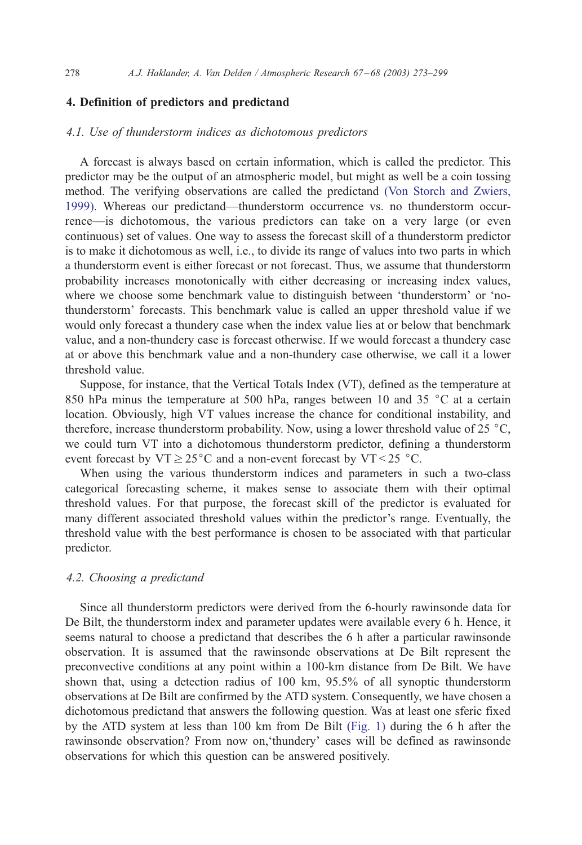## 4. Definition of predictors and predictand

## 4.1. Use of thunderstorm indices as dichotomous predictors

A forecast is always based on certain information, which is called the predictor. This predictor may be the output of an atmospheric model, but might as well be a coin tossing method. The verifying observations are called the predictand [\(Von Storch and Zwiers,](#page-26-0) 1999). Whereas our predictand—thunderstorm occurrence vs. no thunderstorm occurrence—is dichotomous, the various predictors can take on a very large (or even continuous) set of values. One way to assess the forecast skill of a thunderstorm predictor is to make it dichotomous as well, i.e., to divide its range of values into two parts in which a thunderstorm event is either forecast or not forecast. Thus, we assume that thunderstorm probability increases monotonically with either decreasing or increasing index values, where we choose some benchmark value to distinguish between 'thunderstorm' or 'nothunderstorm' forecasts. This benchmark value is called an upper threshold value if we would only forecast a thundery case when the index value lies at or below that benchmark value, and a non-thundery case is forecast otherwise. If we would forecast a thundery case at or above this benchmark value and a non-thundery case otherwise, we call it a lower threshold value.

Suppose, for instance, that the Vertical Totals Index (VT), defined as the temperature at 850 hPa minus the temperature at 500 hPa, ranges between 10 and 35  $\degree$ C at a certain location. Obviously, high VT values increase the chance for conditional instability, and therefore, increase thunderstorm probability. Now, using a lower threshold value of 25  $\degree$ C, we could turn VT into a dichotomous thunderstorm predictor, defining a thunderstorm event forecast by  $VT \geq 25^{\circ}C$  and a non-event forecast by  $VT < 25^{\circ}C$ .

When using the various thunderstorm indices and parameters in such a two-class categorical forecasting scheme, it makes sense to associate them with their optimal threshold values. For that purpose, the forecast skill of the predictor is evaluated for many different associated threshold values within the predictor's range. Eventually, the threshold value with the best performance is chosen to be associated with that particular predictor.

### 4.2. Choosing a predictand

Since all thunderstorm predictors were derived from the 6-hourly rawinsonde data for De Bilt, the thunderstorm index and parameter updates were available every 6 h. Hence, it seems natural to choose a predictand that describes the 6 h after a particular rawinsonde observation. It is assumed that the rawinsonde observations at De Bilt represent the preconvective conditions at any point within a 100-km distance from De Bilt. We have shown that, using a detection radius of 100 km, 95.5% of all synoptic thunderstorm observations at De Bilt are confirmed by the ATD system. Consequently, we have chosen a dichotomous predictand that answers the following question. Was at least one sferic fixed by the ATD system at less than 100 km from De Bilt [\(Fig. 1\)](#page-4-0) during the 6 h after the rawinsonde observation? From now on,'thundery' cases will be defined as rawinsonde observations for which this question can be answered positively.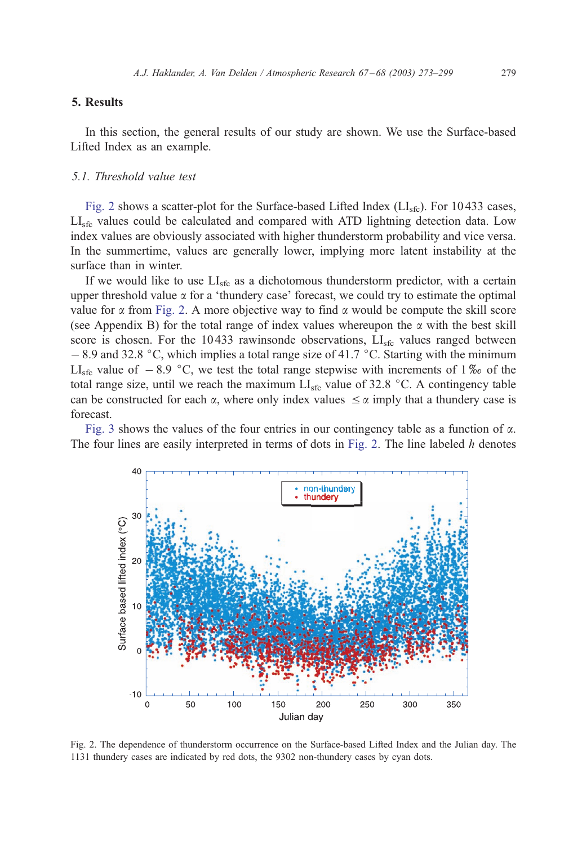## <span id="page-6-0"></span>5. Results

In this section, the general results of our study are shown. We use the Surface-based Lifted Index as an example.

#### 5.1. Threshold value test

Fig. 2 shows a scatter-plot for the Surface-based Lifted Index ( $LI<sub>sfc</sub>$ ). For 10433 cases,  $LI<sub>sfc</sub>$  values could be calculated and compared with ATD lightning detection data. Low index values are obviously associated with higher thunderstorm probability and vice versa. In the summertime, values are generally lower, implying more latent instability at the surface than in winter.

If we would like to use  $LI<sub>sfc</sub>$  as a dichotomous thunderstorm predictor, with a certain upper threshold value  $\alpha$  for a 'thundery case' forecast, we could try to estimate the optimal value for  $\alpha$  from Fig. 2. A more objective way to find  $\alpha$  would be compute the skill score (see Appendix B) for the total range of index values whereupon the  $\alpha$  with the best skill score is chosen. For the 10433 rawinsonde observations,  $LI<sub>sfc</sub>$  values ranged between  $-8.9$  and 32.8 °C, which implies a total range size of 41.7 °C. Starting with the minimum LI<sub>sfc</sub> value of  $-8.9$  °C, we test the total range stepwise with increments of 1\% of the total range size, until we reach the maximum  $LI<sub>sfc</sub>$  value of 32.8 °C. A contingency table can be constructed for each  $\alpha$ , where only index values  $\leq \alpha$  imply that a thundery case is forecast.

[Fig. 3](#page-7-0) shows the values of the four entries in our contingency table as a function of  $\alpha$ . The four lines are easily interpreted in terms of dots in Fig. 2. The line labeled  $h$  denotes



Fig. 2. The dependence of thunderstorm occurrence on the Surface-based Lifted Index and the Julian day. The 1131 thundery cases are indicated by red dots, the 9302 non-thundery cases by cyan dots.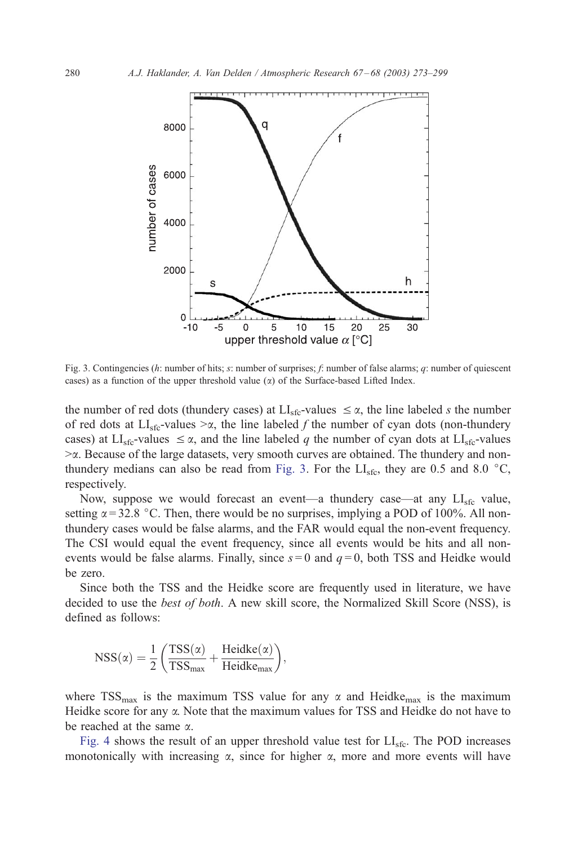<span id="page-7-0"></span>

Fig. 3. Contingencies (h: number of hits; s: number of surprises; f: number of false alarms; q: number of quiescent cases) as a function of the upper threshold value  $(\alpha)$  of the Surface-based Lifted Index.

the number of red dots (thundery cases) at  $LI<sub>sfc</sub>$ -values  $\leq \alpha$ , the line labeled s the number of red dots at  $LI<sub>sfc</sub>$ -values  $>\alpha$ , the line labeled f the number of cyan dots (non-thundery cases) at LI<sub>sfc</sub>-values  $\leq \alpha$ , and the line labeled q the number of cyan dots at LI<sub>sfc</sub>-values  $\alpha$ . Because of the large datasets, very smooth curves are obtained. The thundery and nonthundery medians can also be read from Fig. 3. For the  $LI<sub>sfc</sub>$ , they are 0.5 and 8.0 °C, respectively.

Now, suppose we would forecast an event—a thundery case—at any  $LI<sub>sfc</sub>$  value, setting  $\alpha$  = 32.8 °C. Then, there would be no surprises, implying a POD of 100%. All nonthundery cases would be false alarms, and the FAR would equal the non-event frequency. The CSI would equal the event frequency, since all events would be hits and all nonevents would be false alarms. Finally, since  $s = 0$  and  $q = 0$ , both TSS and Heidke would be zero.

Since both the TSS and the Heidke score are frequently used in literature, we have decided to use the *best of both*. A new skill score, the Normalized Skill Score (NSS), is defined as follows:

$$
NSS(\alpha) = \frac{1}{2} \left( \frac{TSS(\alpha)}{TSS_{max}} + \frac{Heidke(\alpha)}{Heidke_{max}} \right),
$$

where  $TSS_{\text{max}}$  is the maximum TSS value for any  $\alpha$  and Heidke<sub>max</sub> is the maximum Heidke score for any  $\alpha$ . Note that the maximum values for TSS and Heidke do not have to be reached at the same  $\alpha$ .

[Fig. 4](#page-8-0) shows the result of an upper threshold value test for  $LI<sub>sfc</sub>$ . The POD increases monotonically with increasing  $\alpha$ , since for higher  $\alpha$ , more and more events will have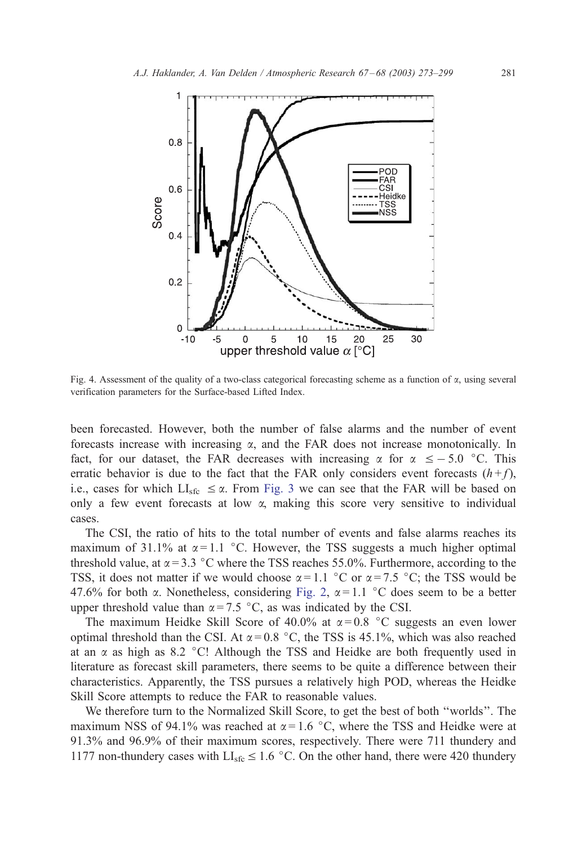<span id="page-8-0"></span>

Fig. 4. Assessment of the quality of a two-class categorical forecasting scheme as a function of  $\alpha$ , using several verification parameters for the Surface-based Lifted Index.

been forecasted. However, both the number of false alarms and the number of event forecasts increase with increasing  $\alpha$ , and the FAR does not increase monotonically. In fact, for our dataset, the FAR decreases with increasing  $\alpha$  for  $\alpha \le -5.0$  °C. This erratic behavior is due to the fact that the FAR only considers event forecasts  $(h+f)$ , i.e., cases for which  $LI_{\text{sfc}} \leq \alpha$ . From [Fig. 3](#page-7-0) we can see that the FAR will be based on only a few event forecasts at low  $\alpha$ , making this score very sensitive to individual cases.

The CSI, the ratio of hits to the total number of events and false alarms reaches its maximum of 31.1% at  $\alpha = 1.1$  °C. However, the TSS suggests a much higher optimal threshold value, at  $\alpha = 3.3$  °C where the TSS reaches 55.0%. Furthermore, according to the TSS, it does not matter if we would choose  $\alpha = 1.1$  °C or  $\alpha = 7.5$  °C; the TSS would be 47.6% for both  $\alpha$ . Nonetheless, considering [Fig. 2,](#page-6-0)  $\alpha = 1.1$  °C does seem to be a better upper threshold value than  $\alpha = 7.5$  °C, as was indicated by the CSI.

The maximum Heidke Skill Score of 40.0% at  $\alpha = 0.8$  °C suggests an even lower optimal threshold than the CSI. At  $\alpha = 0.8$  °C, the TSS is 45.1%, which was also reached at an  $\alpha$  as high as 8.2 °C! Although the TSS and Heidke are both frequently used in literature as forecast skill parameters, there seems to be quite a difference between their characteristics. Apparently, the TSS pursues a relatively high POD, whereas the Heidke Skill Score attempts to reduce the FAR to reasonable values.

We therefore turn to the Normalized Skill Score, to get the best of both ''worlds''. The maximum NSS of 94.1% was reached at  $\alpha = 1.6$  °C, where the TSS and Heidke were at 91.3% and 96.9% of their maximum scores, respectively. There were 711 thundery and 1177 non-thundery cases with  $LI<sub>sfc</sub> \le 1.6$  °C. On the other hand, there were 420 thundery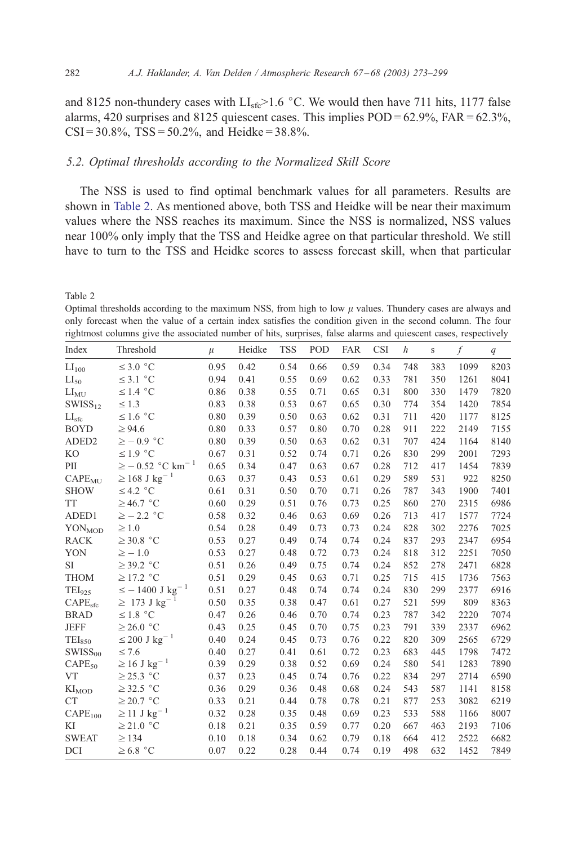<span id="page-9-0"></span>and 8125 non-thundery cases with  $LI<sub>sfc</sub>$  >1.6 °C. We would then have 711 hits, 1177 false alarms, 420 surprises and 8125 quiescent cases. This implies  $POD = 62.9\%$ ,  $FAR = 62.3\%$ ,  $CSI = 30.8\%, TSS = 50.2\%,$  and Heidke = 38.8%.

## 5.2. Optimal thresholds according to the Normalized Skill Score

The NSS is used to find optimal benchmark values for all parameters. Results are shown in Table 2. As mentioned above, both TSS and Heidke will be near their maximum values where the NSS reaches its maximum. Since the NSS is normalized, NSS values near 100% only imply that the TSS and Heidke agree on that particular threshold. We still have to turn to the TSS and Heidke scores to assess forecast skill, when that particular

Table 2

Optimal thresholds according to the maximum NSS, from high to low  $\mu$  values. Thundery cases are always and only forecast when the value of a certain index satisfies the condition given in the second column. The four rightmost columns give the associated number of hits, surprises, false alarms and quiescent cases, respectively

| Index                      | Threshold                                                 | $\mu$ | Heidke | <b>TSS</b> | POD  | <b>FAR</b> | <b>CSI</b> | $\boldsymbol{h}$ | S   | f    | q    |
|----------------------------|-----------------------------------------------------------|-------|--------|------------|------|------------|------------|------------------|-----|------|------|
| $LI_{100}$                 | $\leq 3.0$ °C                                             | 0.95  | 0.42   | 0.54       | 0.66 | 0.59       | 0.34       | 748              | 383 | 1099 | 8203 |
| $LI_{50}$                  | $\leq 3.1\ ^{\circ}\mathrm{C}$                            | 0.94  | 0.41   | 0.55       | 0.69 | 0.62       | 0.33       | 781              | 350 | 1261 | 8041 |
| $LI_{MU}$                  | $\leq 1.4~^\circ\mathrm{C}$                               | 0.86  | 0.38   | 0.55       | 0.71 | 0.65       | 0.31       | 800              | 330 | 1479 | 7820 |
| SWISS <sub>12</sub>        | $\leq 1.3$                                                | 0.83  | 0.38   | 0.53       | 0.67 | 0.65       | 0.30       | 774              | 354 | 1420 | 7854 |
| LI <sub>sfc</sub>          | $≤ 1.6 °C$                                                | 0.80  | 0.39   | 0.50       | 0.63 | 0.62       | 0.31       | 711              | 420 | 1177 | 8125 |
| <b>BOYD</b>                | $\geq$ 94.6                                               | 0.80  | 0.33   | 0.57       | 0.80 | 0.70       | 0.28       | 911              | 222 | 2149 | 7155 |
| ADED <sub>2</sub>          | $\geq -0.9$ °C                                            | 0.80  | 0.39   | 0.50       | 0.63 | 0.62       | 0.31       | 707              | 424 | 1164 | 8140 |
| K <sub>O</sub>             | $\leq 1.9$ °C                                             | 0.67  | 0.31   | 0.52       | 0.74 | 0.71       | 0.26       | 830              | 299 | 2001 | 7293 |
| PII                        | $\geq$ $-$ 0.52 $\,^{\circ}\mathrm{C}$ $\mathrm{km}^{-1}$ | 0.65  | 0.34   | 0.47       | 0.63 | 0.67       | 0.28       | 712              | 417 | 1454 | 7839 |
| $CAPE_{MII}$               | $\geq 168$ J $\text{kg}^{-1}$                             | 0.63  | 0.37   | 0.43       | 0.53 | 0.61       | 0.29       | 589              | 531 | 922  | 8250 |
| <b>SHOW</b>                | ≤ 4.2 °C                                                  | 0.61  | 0.31   | 0.50       | 0.70 | 0.71       | 0.26       | 787              | 343 | 1900 | 7401 |
| <b>TT</b>                  | $\geq$ 46.7 $^{\circ} \mathrm{C}$                         | 0.60  | 0.29   | 0.51       | 0.76 | 0.73       | 0.25       | 860              | 270 | 2315 | 6986 |
| ADED1                      | $\geq -\,2.2~^\circ\mathrm{C}$                            | 0.58  | 0.32   | 0.46       | 0.63 | 0.69       | 0.26       | 713              | 417 | 1577 | 7724 |
| YON <sub>MOD</sub>         | $\geq 1.0$                                                | 0.54  | 0.28   | 0.49       | 0.73 | 0.73       | 0.24       | 828              | 302 | 2276 | 7025 |
| <b>RACK</b>                | $\geq$ 30.8 $^{\circ} \mathrm{C}$                         | 0.53  | 0.27   | 0.49       | 0.74 | 0.74       | 0.24       | 837              | 293 | 2347 | 6954 |
| <b>YON</b>                 | $\geq -1.0$                                               | 0.53  | 0.27   | 0.48       | 0.72 | 0.73       | 0.24       | 818              | 312 | 2251 | 7050 |
| <b>SI</b>                  | $\geq$ 39.2 °C                                            | 0.51  | 0.26   | 0.49       | 0.75 | 0.74       | 0.24       | 852              | 278 | 2471 | 6828 |
| <b>THOM</b>                | $\geq$ 17.2 °C                                            | 0.51  | 0.29   | 0.45       | 0.63 | 0.71       | 0.25       | 715              | 415 | 1736 | 7563 |
| TEI <sub>925</sub>         | $\le$ $-$ 1400 J $\text{kg}^{-1}$                         | 0.51  | 0.27   | 0.48       | 0.74 | 0.74       | 0.24       | 830              | 299 | 2377 | 6916 |
| $\text{CAPE}_{\text{sfc}}$ | $\geq 173 \text{ J kg}^{-1}$                              | 0.50  | 0.35   | 0.38       | 0.47 | 0.61       | 0.27       | 521              | 599 | 809  | 8363 |
| <b>BRAD</b>                | $≤ 1.8 °C$                                                | 0.47  | 0.26   | 0.46       | 0.70 | 0.74       | 0.23       | 787              | 342 | 2220 | 7074 |
| <b>JEFF</b>                | $\geq$ 26.0 $^{\circ} \mathrm{C}$                         | 0.43  | 0.25   | 0.45       | 0.70 | 0.75       | 0.23       | 791              | 339 | 2337 | 6962 |
| TEI <sub>850</sub>         | $\leq 200$ J $\text{kg}^{-1}$                             | 0.40  | 0.24   | 0.45       | 0.73 | 0.76       | 0.22       | 820              | 309 | 2565 | 6729 |
| SWISS <sub>00</sub>        | $\leq 7.6$                                                | 0.40  | 0.27   | 0.41       | 0.61 | 0.72       | 0.23       | 683              | 445 | 1798 | 7472 |
| $CAPE_{50}$                | $\geq 16$ J $\rm kg^{-1}$                                 | 0.39  | 0.29   | 0.38       | 0.52 | 0.69       | 0.24       | 580              | 541 | 1283 | 7890 |
| <b>VT</b>                  | $\geq$ 25.3 °C                                            | 0.37  | 0.23   | 0.45       | 0.74 | 0.76       | 0.22       | 834              | 297 | 2714 | 6590 |
| $\mathrm{KI}_\mathrm{MOD}$ | $\geq$ 32.5 °C                                            | 0.36  | 0.29   | 0.36       | 0.48 | 0.68       | 0.24       | 543              | 587 | 1141 | 8158 |
| <b>CT</b>                  | $\geq$ 20.7 °C                                            | 0.33  | 0.21   | 0.44       | 0.78 | 0.78       | 0.21       | 877              | 253 | 3082 | 6219 |
| CAPE <sub>100</sub>        | $\geq$ 11 J kg <sup>-1</sup>                              | 0.32  | 0.28   | 0.35       | 0.48 | 0.69       | 0.23       | 533              | 588 | 1166 | 8007 |
| KI                         | $\geq$ 21.0 °C                                            | 0.18  | 0.21   | 0.35       | 0.59 | 0.77       | 0.20       | 667              | 463 | 2193 | 7106 |
| <b>SWEAT</b>               | $\geq$ 134                                                | 0.10  | 0.18   | 0.34       | 0.62 | 0.79       | 0.18       | 664              | 412 | 2522 | 6682 |
| DCI                        | $\geq 6.8$ °C                                             | 0.07  | 0.22   | 0.28       | 0.44 | 0.74       | 0.19       | 498              | 632 | 1452 | 7849 |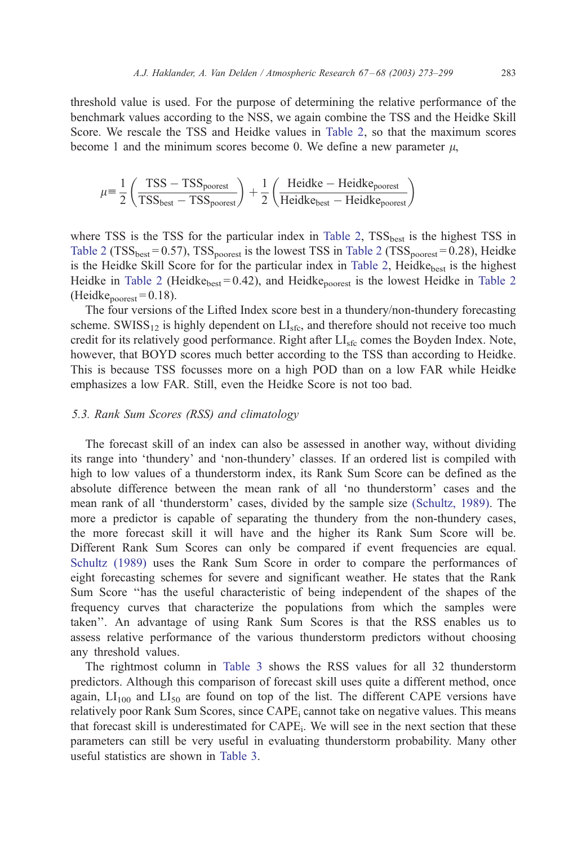threshold value is used. For the purpose of determining the relative performance of the benchmark values according to the NSS, we again combine the TSS and the Heidke Skill Score. We rescale the TSS and Heidke values in [Table 2,](#page-9-0) so that the maximum scores become 1 and the minimum scores become 0. We define a new parameter  $\mu$ ,

$$
\mu {\rm{ }}={\rm{ }}\frac{1}{2}\left( {\frac{{\rm{TSS - TSS}_{poores}}}{\rm{TSS}_{best} - TSS_{poores}} } \right) + \frac{1}{2}\left( {\frac{{\rm{Heidke - Heidke}_{poores}}}{\rm{Heidke}_{best} - Heidke_{poores}} } \right)
$$

where TSS is the TSS for the particular index in [Table 2,](#page-9-0)  $TSS_{best}$  is the highest TSS in [Table 2](#page-9-0) ( $TSS_{best} = 0.57$ ),  $TSS_{boost}$  is the lowest TSS in Table 2 ( $TSS_{boost} = 0.28$ ), Heidke is the Heidke Skill Score for for the particular index in [Table 2,](#page-9-0) Heidke<sub>best</sub> is the highest Heidke in [Table 2](#page-9-0) (Heidke $_{best}$ =0.42), and Heidke $_{boost}$  is the lowest Heidke in Table 2 (Heidke $_{\text{poores}} = 0.18$ ).

The four versions of the Lifted Index score best in a thundery/non-thundery forecasting scheme. SWISS<sub>12</sub> is highly dependent on  $LI<sub>sfc</sub>$ , and therefore should not receive too much credit for its relatively good performance. Right after  $LI<sub>sfc</sub>$  comes the Boyden Index. Note, however, that BOYD scores much better according to the TSS than according to Heidke. This is because TSS focusses more on a high POD than on a low FAR while Heidke emphasizes a low FAR. Still, even the Heidke Score is not too bad.

## 5.3. Rank Sum Scores (RSS) and climatology

The forecast skill of an index can also be assessed in another way, without dividing its range into 'thundery' and 'non-thundery' classes. If an ordered list is compiled with high to low values of a thunderstorm index, its Rank Sum Score can be defined as the absolute difference between the mean rank of all 'no thunderstorm' cases and the mean rank of all 'thunderstorm' cases, divided by the sample size [\(Schultz, 1989\).](#page-26-0) The more a predictor is capable of separating the thundery from the non-thundery cases, the more forecast skill it will have and the higher its Rank Sum Score will be. Different Rank Sum Scores can only be compared if event frequencies are equal. [Schultz \(1989\)](#page-26-0) uses the Rank Sum Score in order to compare the performances of eight forecasting schemes for severe and significant weather. He states that the Rank Sum Score ''has the useful characteristic of being independent of the shapes of the frequency curves that characterize the populations from which the samples were taken''. An advantage of using Rank Sum Scores is that the RSS enables us to assess relative performance of the various thunderstorm predictors without choosing any threshold values.

The rightmost column in [Table 3](#page-11-0) shows the RSS values for all 32 thunderstorm predictors. Although this comparison of forecast skill uses quite a different method, once again,  $LI_{100}$  and  $LI_{50}$  are found on top of the list. The different CAPE versions have relatively poor Rank Sum Scores, since  $CAPE_i$  cannot take on negative values. This means that forecast skill is underestimated for CAPEi. We will see in the next section that these parameters can still be very useful in evaluating thunderstorm probability. Many other useful statistics are shown in [Table 3.](#page-11-0)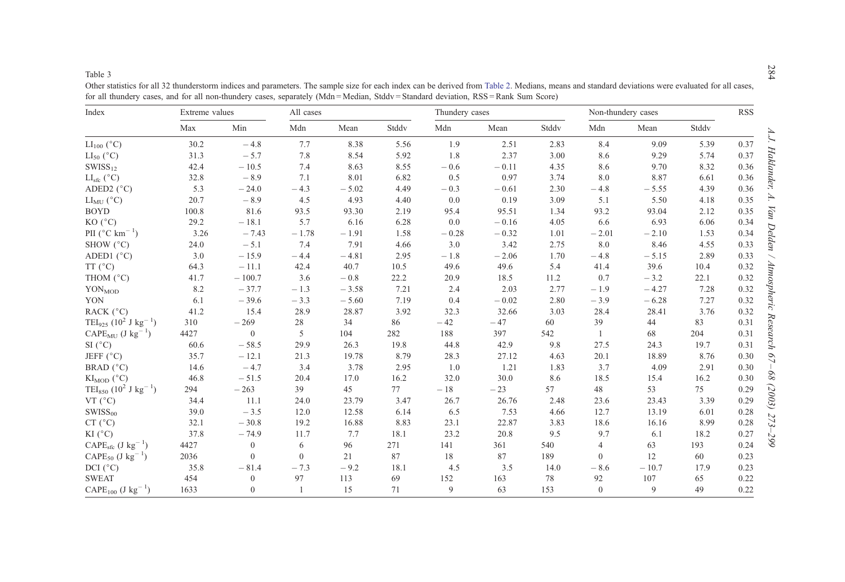#### Table 3

<span id="page-11-0"></span>A.J. Haklander, A. Van Delden / Atmospheric Research 67 – 68 (2003) 273–299 284Index Extreme values All cases Thundery cases Non-thundery cases RSS Max Min Mdn Mean Stddv Mdn Mean Stddv Mdn Mean Stddv $A.J.$  $LI<sub>100</sub>$  (°C)  $_0$  (°C) 30.2 – 4.8 7.7 8.38 5.56 1.9 2.51 2.83 8.4 9.09 5.39 0.37 Haklander,  $LI_{50}$  (°C)  $_0$  (°C) 31.3  $-5.7$  7.8 8.54 5.92 1.8 2.37 3.00 8.6 9.29 5.74 0.37  $SWISS<sub>12</sub>$  $_2$  42.4  $-10.5$  7.4 8.63 8.55  $-0.6$   $-0.11$  4.35 8.6 9.70 8.32 0.36  $LI<sub>sfc</sub> (°C)$  $\frac{1}{26}$  (°C) 32.8 – 8.9 7.1 8.01 6.82 0.5 0.97 3.74 8.0 8.87 6.61 0.36 ADED2 (<sup>j</sup>C) 5.3 24.0 4.3 5.02 4.49 0.3 0.61 2.30 4.8 5.55 4.39 0.36 À.  $LI_{\rm MU}$  (°C)  $\rm _{U}$  (°C) 20.7 – 8.9 4.5 4.93 4.40 0.0 0.19 3.09 5.1 5.50 4.18 0.35 Van Delden BOYD 100.8 81.6 93.5 93.30 2.19 95.4 95.51 1.34 93.2 93.04 2.12 0.35KO (°C)  $29.2$   $-18.1$   $5.7$   $6.16$   $6.28$   $0.0$   $-0.16$   $4.05$   $6.6$   $6.93$   $6.06$   $0.34$ PII ( $^{\circ}$ C km<sup>-1</sup>) 3.26  $-7.43$   $-1.78$   $-1.91$  1.58  $-0.28$   $-0.32$  1.01  $-2.01$   $-2.10$  1.53 0.34 SHOW (°C) 24.0 - 5.1 7.4 7.91 4.66 3.0 3.42 2.75 8.0 8.46 4.55 0.33 ADED1 (°C) 3.0 - 15.9 - 4.4 - 4.81 2.95 - 1.8 - 2.06 1.70 - 4.8 - 5.15 2.89 0.33 Atmospheric TT (<sup>j</sup>C) 64.3 11.1 42.4 40.7 10.5 49.6 49.6 5.4 41.4 39.6 10.4 0.32 THOM (°C) 41.7 -100.7 3.6 -0.8 22.2 20.9 18.5 11.2 0.7 -3.2 22.1 0.32 YON<sub>MOD</sub>  $\rm{b}$  8.2  $-37.7$   $-1.3$   $-3.58$  7.21  $2.4$   $2.03$   $2.77$   $-1.9$   $-4.27$  7.28 0.32 YON 6.1  $-39.6$  $-39.6$   $-3.3$   $-5.60$   $7.19$   $0.4$   $-0.02$   $2.80$   $-3.9$   $-6.28$   $7.27$   $0.32$ RACK (°C) 41.2 15.4 28.9 28.87 3.92 32.3 32.66 3.03 28.4 28.41 3.76 0.32 Research TEI<sub>925</sub>  $(10^2 \text{ J kg}^{-1})$  $(\frac{1}{5}(10^2 \text{ J kg}^{-1})$  310  $-269$  28 34 86  $-42$   $-47$  60 39 44 83 0.31  $CAPE_{\text{MIT}}(Jkg^{-1})$  $\frac{1}{10}$  (J kg<sup>-1</sup>) 4427 0 5 104 282 188 397 542 1 68 204 0.31 SI (<sup>j</sup>C) 60.6 58.5 29.9 26.3 19.8 44.8 42.9 9.8 27.5 24.3 19.7 0.31  $\mathcal{O}$ JEFF (<sup>j</sup>C) 35.7 12.1 21.3 19.78 8.79 28.3 27.12 4.63 20.1 18.89 8.76 0.30 BRAD (<sup>j</sup>C) 14.6 4.7 3.4 3.78 2.95 1.0 1.21 1.83 3.7 4.09 2.91 0.30  $KI<sub>MOD</sub> (°C)$  $_{D}$  (°C) 46.8  $-51.5$  20.4 17.0 16.2 32.0 30.0 8.6 18.5 15.4 16.2 0.30  $TEI<sub>850</sub>$   $(10<sup>2</sup> J kg<sup>-1</sup>)$  $(2003)$  273–2  $\frac{(10^2 \text{ J kg}^{-1})}{294}$  294  $-263$  39 45 77  $-18$   $-23$  57 48 53 75 0.29 VT (<sup>j</sup>C) 34.4 11.1 24.0 23.79 3.47 26.7 26.76 2.48 23.6 23.43 3.39 0.29  $SWISS<sub>00</sub>$  $_0$  39.0  $-3.5$  12.0 12.58 6.14 6.5 7.53 4.66 12.7 13.19 6.01 0.28 CT ( $^{\circ}$ C) 32.1  $-30.8$  19.2 16.88 8.83 23.1 22.87 3.83 18.6 16.16 8.99 0.28 KI (°C) 37.8 74.9 11.7 7.7 18.1 23.2 20.8 9.5 9.7 6.1 18.2 0.27  $CAPE_{\text{sfc}}$  (J kg<sup>-1</sup>)  $\frac{1}{16}$  (J kg<sup>-1</sup>) 4427 0 6 96 271 141 361 540 4 63 193 0.24  $CAPE_{50}$  (J kg<sup>-1</sup>)  $_0 \rm \ (J \ kg^{-1})$  2036 0 0 21 87 18 87 189 0 12 60 0.23 DCI (°C) 35.8  $-81.4$   $-7.3$   $-9.2$  18.1  $4.5$  3.5 14.0  $-8.6$   $-10.7$  17.9 0.23 SWEAT 454 0 97 113 69 152 163 78 92 107 65 0.22 $CAPE_{100}$  (J kg<sup>-1</sup>)  $_0$  (J kg<sup>-1</sup>) 1633 0 1 15 71 9 63 153 0 9 49 0.22

| Other statistics for all 32 thunderstorm indices and parameters. The sample size for each index can be derived from Table 2. Medians, means and standard deviations were evaluated for all cases. |  |
|---------------------------------------------------------------------------------------------------------------------------------------------------------------------------------------------------|--|
| for all thundery cases, and for all non-thundery cases, separately (Mdn = Median, Stddy = Standard deviation, RSS = Rank Sum Score)                                                               |  |

 $\overline{\phantom{0}}$ 

 $\Box$  $89-$ 

66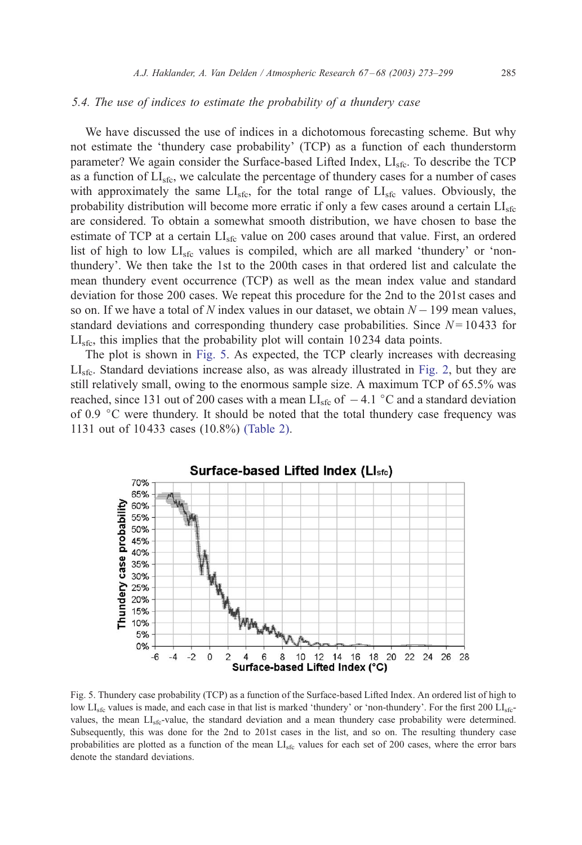## <span id="page-12-0"></span>5.4. The use of indices to estimate the probability of a thundery case

We have discussed the use of indices in a dichotomous forecasting scheme. But why not estimate the 'thundery case probability' (TCP) as a function of each thunderstorm parameter? We again consider the Surface-based Lifted Index,  $LI_{\text{sfc}}$ . To describe the TCP as a function of  $LI<sub>sfc</sub>$ , we calculate the percentage of thundery cases for a number of cases with approximately the same  $LI<sub>sfc</sub>$ , for the total range of  $LI<sub>sfc</sub>$  values. Obviously, the probability distribution will become more erratic if only a few cases around a certain  $LI<sub>sfc</sub>$ are considered. To obtain a somewhat smooth distribution, we have chosen to base the estimate of TCP at a certain  $LI<sub>sfc</sub>$  value on 200 cases around that value. First, an ordered list of high to low  $LI<sub>sfc</sub>$  values is compiled, which are all marked 'thundery' or 'nonthundery'. We then take the 1st to the 200th cases in that ordered list and calculate the mean thundery event occurrence (TCP) as well as the mean index value and standard deviation for those 200 cases. We repeat this procedure for the 2nd to the 201st cases and so on. If we have a total of N index values in our dataset, we obtain  $N - 199$  mean values, standard deviations and corresponding thundery case probabilities. Since  $N = 10433$  for  $LI<sub>sfc</sub>$ , this implies that the probability plot will contain 10234 data points.

The plot is shown in Fig. 5. As expected, the TCP clearly increases with decreasing  $LI<sub>stc</sub>$ . Standard deviations increase also, as was already illustrated in [Fig. 2,](#page-6-0) but they are still relatively small, owing to the enormous sample size. A maximum TCP of 65.5% was reached, since 131 out of 200 cases with a mean  $LI<sub>sfc</sub>$  of  $-4.1$  °C and a standard deviation of  $0.9 \degree$ C were thundery. It should be noted that the total thundery case frequency was 1131 out of 10 433 cases (10.8%) [\(Table 2\).](#page-9-0)



Fig. 5. Thundery case probability (TCP) as a function of the Surface-based Lifted Index. An ordered list of high to low  $LI_{\rm sfc}$  values is made, and each case in that list is marked 'thundery' or 'non-thundery'. For the first 200  $LI_{\rm sfc}$ values, the mean LI<sub>sfc</sub>-value, the standard deviation and a mean thundery case probability were determined. Subsequently, this was done for the 2nd to 201st cases in the list, and so on. The resulting thundery case probabilities are plotted as a function of the mean  $LI<sub>sfe</sub>$  values for each set of 200 cases, where the error bars denote the standard deviations.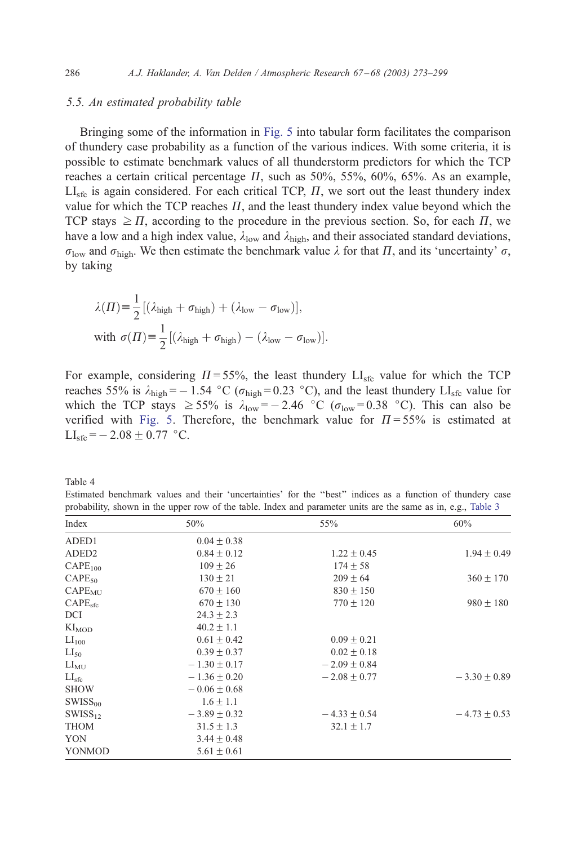## <span id="page-13-0"></span>5.5. An estimated probability table

Bringing some of the information in [Fig. 5](#page-12-0) into tabular form facilitates the comparison of thundery case probability as a function of the various indices. With some criteria, it is possible to estimate benchmark values of all thunderstorm predictors for which the TCP reaches a certain critical percentage  $\Pi$ , such as 50%, 55%, 60%, 65%. As an example,  $LI<sub>sfc</sub>$  is again considered. For each critical TCP,  $II$ , we sort out the least thundery index value for which the TCP reaches  $\Pi$ , and the least thundery index value beyond which the TCP stays  $\geq \Pi$ , according to the procedure in the previous section. So, for each  $\Pi$ , we have a low and a high index value,  $\lambda_{\text{low}}$  and  $\lambda_{\text{high}}$ , and their associated standard deviations,  $\sigma_{\text{low}}$  and  $\sigma_{\text{high}}$ . We then estimate the benchmark value  $\lambda$  for that  $\Pi$ , and its 'uncertainty'  $\sigma$ , by taking

$$
\lambda(\Pi) = \frac{1}{2} [(\lambda_{\text{high}} + \sigma_{\text{high}}) + (\lambda_{\text{low}} - \sigma_{\text{low}})],
$$
  
with  $\sigma(\Pi) = \frac{1}{2} [(\lambda_{\text{high}} + \sigma_{\text{high}}) - (\lambda_{\text{low}} - \sigma_{\text{low}})].$ 

For example, considering  $\overline{H} = 55\%$ , the least thundery  $LI<sub>sfc</sub>$  value for which the TCP reaches 55% is  $\lambda_{\text{high}} = -1.54 \text{ °C} (\sigma_{\text{high}} = 0.23 \text{ °C})$ , and the least thundery LI<sub>sfc</sub> value for which the TCP stays  $\geq 55\%$  is  $\lambda_{\text{low}} = -2.46$  °C ( $\sigma_{\text{low}} = 0.38$  °C). This can also be verified with [Fig. 5.](#page-12-0) Therefore, the benchmark value for  $\Pi = 55\%$  is estimated at  $LI_{\text{sfc}} = -2.08 \pm 0.77$  °C.

Table 4

Estimated benchmark values and their 'uncertainties' for the ''best'' indices as a function of thundery case [probability, shown in the upper row of the table. Index and parameter units are the same as in, e.g.,](#page-11-0) Table 3

| Index                | 50%              | 55%              | 60%              |
|----------------------|------------------|------------------|------------------|
| ADED1                | $0.04 \pm 0.38$  |                  |                  |
| ADED <sub>2</sub>    | $0.84 \pm 0.12$  | $1.22 \pm 0.45$  | $1.94 \pm 0.49$  |
| CAPE <sub>100</sub>  | $109 \pm 26$     | $174 \pm 58$     |                  |
| $CAPE_{50}$          | $130 \pm 21$     | $209 \pm 64$     | $360 \pm 170$    |
| $CAPE_{MU}$          | $670 \pm 160$    | $830 \pm 150$    |                  |
| CAPE <sub>sfc</sub>  | $670 \pm 130$    | $770 \pm 120$    | $980 \pm 180$    |
| DCI                  | $24.3 \pm 2.3$   |                  |                  |
| $\rm{KI}_{\rm{MOD}}$ | $40.2 + 1.1$     |                  |                  |
| $LI_{100}$           | $0.61 + 0.42$    | $0.09 \pm 0.21$  |                  |
| $LI_{50}$            | $0.39 + 0.37$    | $0.02 \pm 0.18$  |                  |
| $LI_{MU}$            | $-1.30 \pm 0.17$ | $-2.09 \pm 0.84$ |                  |
| LI <sub>sfc</sub>    | $-1.36 \pm 0.20$ | $-2.08 \pm 0.77$ | $-3.30 + 0.89$   |
| <b>SHOW</b>          | $-0.06 \pm 0.68$ |                  |                  |
| SWISS <sub>00</sub>  | $1.6 \pm 1.1$    |                  |                  |
| $SWISS_{12}$         | $-3.89 \pm 0.32$ | $-4.33 \pm 0.54$ | $-4.73 \pm 0.53$ |
| <b>THOM</b>          | $31.5 \pm 1.3$   | $32.1 \pm 1.7$   |                  |
| <b>YON</b>           | $3.44 \pm 0.48$  |                  |                  |
| YONMOD               | $5.61 \pm 0.61$  |                  |                  |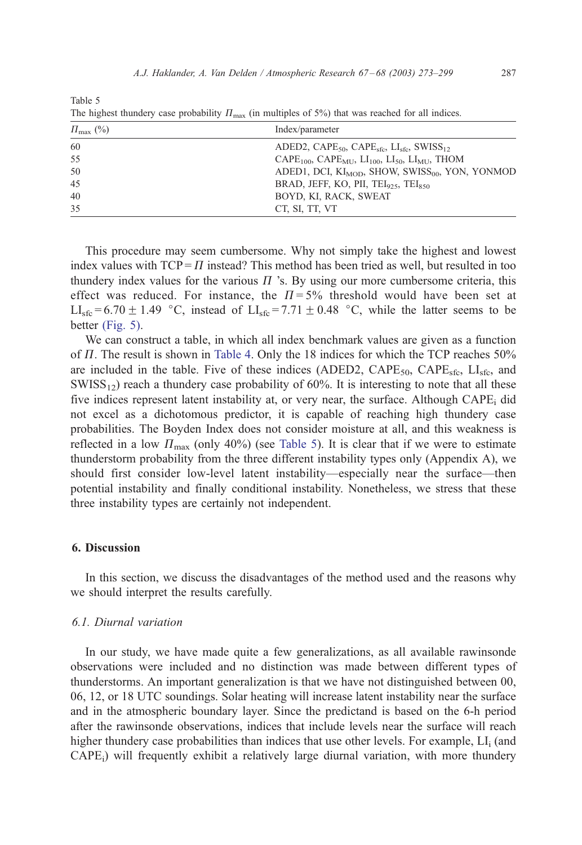| $\Pi_{\text{max}}$ (%) | Index/parameter                                                                                           |
|------------------------|-----------------------------------------------------------------------------------------------------------|
| 60                     | ADED2, $CAPE_{50}$ , $CAPE_{56}$ , $LI_{56}$ , $SWISS_{12}$                                               |
| 55                     | CAPE <sub>100</sub> , CAPE <sub>ML</sub> , LI <sub>100</sub> , LI <sub>50</sub> , LI <sub>ML</sub> , THOM |
| 50                     | ADED1, DCI, KI <sub>MOD</sub> , SHOW, SWISS <sub>00</sub> , YON, YONMOD                                   |
| 45                     | BRAD, JEFF, KO, PII, TEI <sub>925</sub> , TEI <sub>850</sub>                                              |
| 40                     | BOYD, KI, RACK, SWEAT                                                                                     |
| 35                     | CT, SI, TT, VT                                                                                            |
|                        |                                                                                                           |

The highest thundery case probability  $\Pi_{\text{max}}$  (in multiples of 5%) that was reached for all indices.

This procedure may seem cumbersome. Why not simply take the highest and lowest index values with  $TCP = \Pi$  instead? This method has been tried as well, but resulted in too thundery index values for the various  $\Pi$  's. By using our more cumbersome criteria, this effect was reduced. For instance, the  $\Pi = 5\%$  threshold would have been set at  $L_{\text{Isfc}} = 6.70 \pm 1.49$  °C, instead of  $L_{\text{Isfc}} = 7.71 \pm 0.48$  °C, while the latter seems to be better [\(Fig. 5\).](#page-12-0)

We can construct a table, in which all index benchmark values are given as a function of  $\Pi$ . The result is shown in [Table 4.](#page-13-0) Only the 18 indices for which the TCP reaches 50% are included in the table. Five of these indices (ADED2, CAPE<sub>50</sub>, CAPE<sub>sfc</sub>, LI<sub>sfc</sub>, and  $SWISS<sub>12</sub>$ ) reach a thundery case probability of 60%. It is interesting to note that all these five indices represent latent instability at, or very near, the surface. Although CAPE<sub>i</sub> did not excel as a dichotomous predictor, it is capable of reaching high thundery case probabilities. The Boyden Index does not consider moisture at all, and this weakness is reflected in a low  $\Pi_{\text{max}}$  (only 40%) (see Table 5). It is clear that if we were to estimate thunderstorm probability from the three different instability types only (Appendix A), we should first consider low-level latent instability—especially near the surface—then potential instability and finally conditional instability. Nonetheless, we stress that these three instability types are certainly not independent.

## 6. Discussion

Table 5

In this section, we discuss the disadvantages of the method used and the reasons why we should interpret the results carefully.

#### 6.1. Diurnal variation

In our study, we have made quite a few generalizations, as all available rawinsonde observations were included and no distinction was made between different types of thunderstorms. An important generalization is that we have not distinguished between 00, 06, 12, or 18 UTC soundings. Solar heating will increase latent instability near the surface and in the atmospheric boundary layer. Since the predictand is based on the 6-h period after the rawinsonde observations, indices that include levels near the surface will reach higher thundery case probabilities than indices that use other levels. For example,  $LI_i$  (and CAPE<sub>i</sub>) will frequently exhibit a relatively large diurnal variation, with more thundery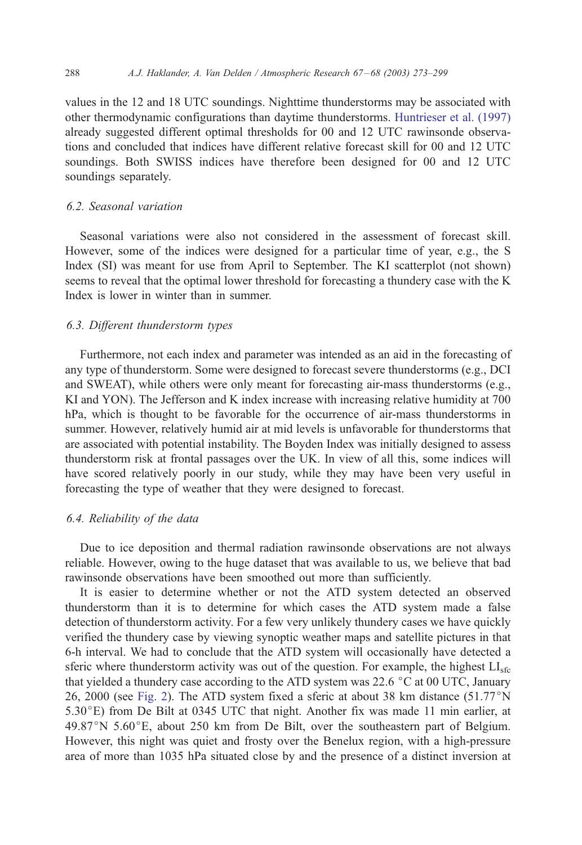values in the 12 and 18 UTC soundings. Nighttime thunderstorms may be associated with other thermodynamic configurations than daytime thunderstorms. [Huntrieser et al. \(1997\)](#page-26-0) already suggested different optimal thresholds for 00 and 12 UTC rawinsonde observations and concluded that indices have different relative forecast skill for 00 and 12 UTC soundings. Both SWISS indices have therefore been designed for 00 and 12 UTC soundings separately.

## 6.2. Seasonal variation

Seasonal variations were also not considered in the assessment of forecast skill. However, some of the indices were designed for a particular time of year, e.g., the S Index (SI) was meant for use from April to September. The KI scatterplot (not shown) seems to reveal that the optimal lower threshold for forecasting a thundery case with the K Index is lower in winter than in summer.

#### 6.3. Different thunderstorm types

Furthermore, not each index and parameter was intended as an aid in the forecasting of any type of thunderstorm. Some were designed to forecast severe thunderstorms (e.g., DCI and SWEAT), while others were only meant for forecasting air-mass thunderstorms (e.g., KI and YON). The Jefferson and K index increase with increasing relative humidity at 700 hPa, which is thought to be favorable for the occurrence of air-mass thunderstorms in summer. However, relatively humid air at mid levels is unfavorable for thunderstorms that are associated with potential instability. The Boyden Index was initially designed to assess thunderstorm risk at frontal passages over the UK. In view of all this, some indices will have scored relatively poorly in our study, while they may have been very useful in forecasting the type of weather that they were designed to forecast.

#### 6.4. Reliability of the data

Due to ice deposition and thermal radiation rawinsonde observations are not always reliable. However, owing to the huge dataset that was available to us, we believe that bad rawinsonde observations have been smoothed out more than sufficiently.

It is easier to determine whether or not the ATD system detected an observed thunderstorm than it is to determine for which cases the ATD system made a false detection of thunderstorm activity. For a few very unlikely thundery cases we have quickly verified the thundery case by viewing synoptic weather maps and satellite pictures in that 6-h interval. We had to conclude that the ATD system will occasionally have detected a sferic where thunderstorm activity was out of the question. For example, the highest  $LI_{sfc}$ that yielded a thundery case according to the ATD system was 22.6  $\degree$ C at 00 UTC, January 26, 2000 (see [Fig. 2\)](#page-6-0). The ATD system fixed a sferic at about 38 km distance  $(51.77^{\circ}N)$  $5.30^{\circ}$ E) from De Bilt at 0345 UTC that night. Another fix was made 11 min earlier, at  $49.87^{\circ}$ N 5.60 $^{\circ}$ E, about 250 km from De Bilt, over the southeastern part of Belgium. However, this night was quiet and frosty over the Benelux region, with a high-pressure area of more than 1035 hPa situated close by and the presence of a distinct inversion at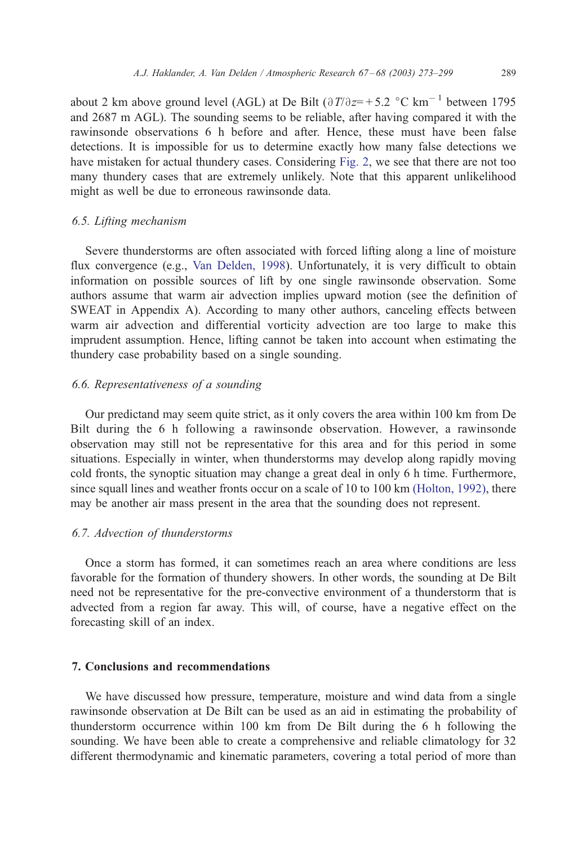about 2 km above ground level (AGL) at De Bilt ( $\partial T/\partial z= +5.2$  °C km<sup>-1</sup> between 1795 and 2687 m AGL). The sounding seems to be reliable, after having compared it with the rawinsonde observations 6 h before and after. Hence, these must have been false detections. It is impossible for us to determine exactly how many false detections we have mistaken for actual thundery cases. Considering [Fig. 2,](#page-6-0) we see that there are not too many thundery cases that are extremely unlikely. Note that this apparent unlikelihood might as well be due to erroneous rawinsonde data.

## 6.5. Lifting mechanism

Severe thunderstorms are often associated with forced lifting along a line of moisture flux convergence (e.g., [Van Delden, 1998\)](#page-26-0). Unfortunately, it is very difficult to obtain information on possible sources of lift by one single rawinsonde observation. Some authors assume that warm air advection implies upward motion (see the definition of SWEAT in Appendix A). According to many other authors, canceling effects between warm air advection and differential vorticity advection are too large to make this imprudent assumption. Hence, lifting cannot be taken into account when estimating the thundery case probability based on a single sounding.

## 6.6. Representativeness of a sounding

Our predictand may seem quite strict, as it only covers the area within 100 km from De Bilt during the 6 h following a rawinsonde observation. However, a rawinsonde observation may still not be representative for this area and for this period in some situations. Especially in winter, when thunderstorms may develop along rapidly moving cold fronts, the synoptic situation may change a great deal in only 6 h time. Furthermore, since squall lines and weather fronts occur on a scale of 10 to 100 km [\(Holton, 1992\),](#page-26-0) there may be another air mass present in the area that the sounding does not represent.

## 6.7. Advection of thunderstorms

Once a storm has formed, it can sometimes reach an area where conditions are less favorable for the formation of thundery showers. In other words, the sounding at De Bilt need not be representative for the pre-convective environment of a thunderstorm that is advected from a region far away. This will, of course, have a negative effect on the forecasting skill of an index.

## 7. Conclusions and recommendations

We have discussed how pressure, temperature, moisture and wind data from a single rawinsonde observation at De Bilt can be used as an aid in estimating the probability of thunderstorm occurrence within 100 km from De Bilt during the 6 h following the sounding. We have been able to create a comprehensive and reliable climatology for 32 different thermodynamic and kinematic parameters, covering a total period of more than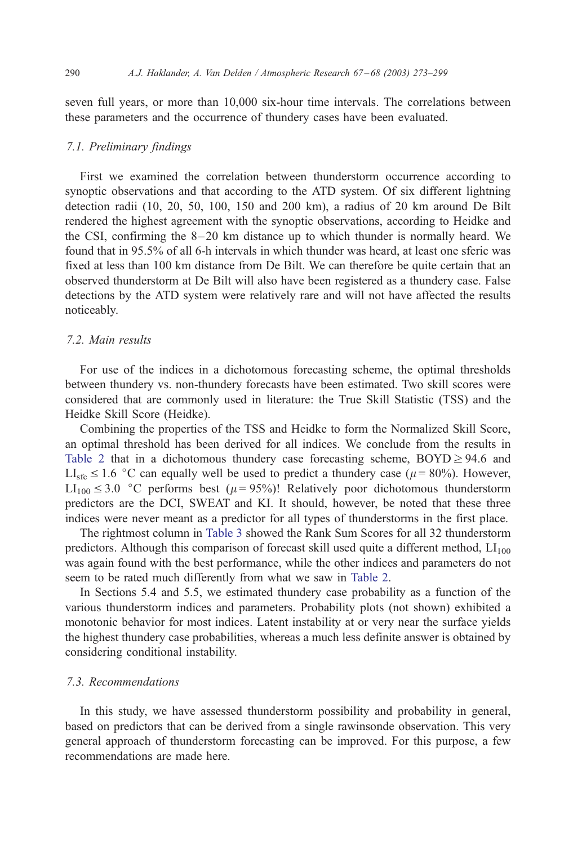seven full years, or more than 10,000 six-hour time intervals. The correlations between these parameters and the occurrence of thundery cases have been evaluated.

#### 7.1. Preliminary findings

First we examined the correlation between thunderstorm occurrence according to synoptic observations and that according to the ATD system. Of six different lightning detection radii (10, 20, 50, 100, 150 and 200 km), a radius of 20 km around De Bilt rendered the highest agreement with the synoptic observations, according to Heidke and the CSI, confirming the  $8-20$  km distance up to which thunder is normally heard. We found that in 95.5% of all 6-h intervals in which thunder was heard, at least one sferic was fixed at less than 100 km distance from De Bilt. We can therefore be quite certain that an observed thunderstorm at De Bilt will also have been registered as a thundery case. False detections by the ATD system were relatively rare and will not have affected the results noticeably.

## 7.2. Main results

For use of the indices in a dichotomous forecasting scheme, the optimal thresholds between thundery vs. non-thundery forecasts have been estimated. Two skill scores were considered that are commonly used in literature: the True Skill Statistic (TSS) and the Heidke Skill Score (Heidke).

Combining the properties of the TSS and Heidke to form the Normalized Skill Score, an optimal threshold has been derived for all indices. We conclude from the results in [Table 2](#page-9-0) that in a dichotomous thundery case forecasting scheme,  $BOYD \geq 94.6$  and  $L_s \le 1.6$  °C can equally well be used to predict a thundery case ( $\mu$  = 80%). However,  $LI_{100} \leq 3.0$  °C performs best ( $\mu$  = 95%)! Relatively poor dichotomous thunderstorm predictors are the DCI, SWEAT and KI. It should, however, be noted that these three indices were never meant as a predictor for all types of thunderstorms in the first place.

The rightmost column in [Table 3](#page-11-0) showed the Rank Sum Scores for all 32 thunderstorm predictors. Although this comparison of forecast skill used quite a different method,  $LI_{100}$ was again found with the best performance, while the other indices and parameters do not seem to be rated much differently from what we saw in [Table 2.](#page-9-0)

In Sections 5.4 and 5.5, we estimated thundery case probability as a function of the various thunderstorm indices and parameters. Probability plots (not shown) exhibited a monotonic behavior for most indices. Latent instability at or very near the surface yields the highest thundery case probabilities, whereas a much less definite answer is obtained by considering conditional instability.

## 7.3. Recommendations

In this study, we have assessed thunderstorm possibility and probability in general, based on predictors that can be derived from a single rawinsonde observation. This very general approach of thunderstorm forecasting can be improved. For this purpose, a few recommendations are made here.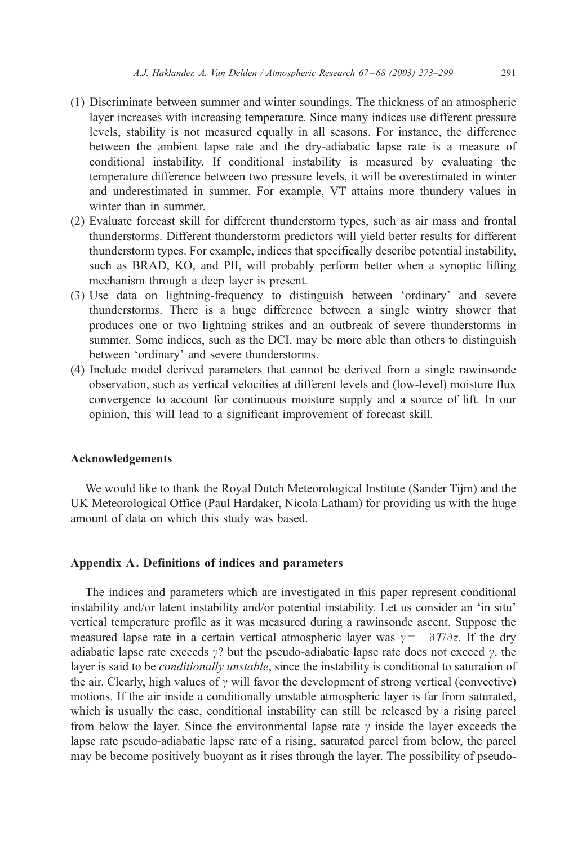- (1) Discriminate between summer and winter soundings. The thickness of an atmospheric layer increases with increasing temperature. Since many indices use different pressure levels, stability is not measured equally in all seasons. For instance, the difference between the ambient lapse rate and the dry-adiabatic lapse rate is a measure of conditional instability. If conditional instability is measured by evaluating the temperature difference between two pressure levels, it will be overestimated in winter and underestimated in summer. For example, VT attains more thundery values in winter than in summer.
- (2) Evaluate forecast skill for different thunderstorm types, such as air mass and frontal thunderstorms. Different thunderstorm predictors will yield better results for different thunderstorm types. For example, indices that specifically describe potential instability, such as BRAD, KO, and PII, will probably perform better when a synoptic lifting mechanism through a deep layer is present.
- (3) Use data on lightning-frequency to distinguish between 'ordinary' and severe thunderstorms. There is a huge difference between a single wintry shower that produces one or two lightning strikes and an outbreak of severe thunderstorms in summer. Some indices, such as the DCI, may be more able than others to distinguish between 'ordinary' and severe thunderstorms.
- (4) Include model derived parameters that cannot be derived from a single rawinsonde observation, such as vertical velocities at different levels and (low-level) moisture flux convergence to account for continuous moisture supply and a source of lift. In our opinion, this will lead to a significant improvement of forecast skill.

#### Acknowledgements

We would like to thank the Royal Dutch Meteorological Institute (Sander Tijm) and the UK Meteorological Office (Paul Hardaker, Nicola Latham) for providing us with the huge amount of data on which this study was based.

## Appendix A. Definitions of indices and parameters

The indices and parameters which are investigated in this paper represent conditional instability and/or latent instability and/or potential instability. Let us consider an 'in situ' vertical temperature profile as it was measured during a rawinsonde ascent. Suppose the measured lapse rate in a certain vertical atmospheric layer was  $\gamma = -\frac{\partial T}{\partial z}$ . If the dry adiabatic lapse rate exceeds  $\gamma$ ? but the pseudo-adiabatic lapse rate does not exceed  $\gamma$ , the layer is said to be *conditionally unstable*, since the instability is conditional to saturation of the air. Clearly, high values of  $\gamma$  will favor the development of strong vertical (convective) motions. If the air inside a conditionally unstable atmospheric layer is far from saturated, which is usually the case, conditional instability can still be released by a rising parcel from below the layer. Since the environmental lapse rate  $\gamma$  inside the layer exceeds the lapse rate pseudo-adiabatic lapse rate of a rising, saturated parcel from below, the parcel may be become positively buoyant as it rises through the layer. The possibility of pseudo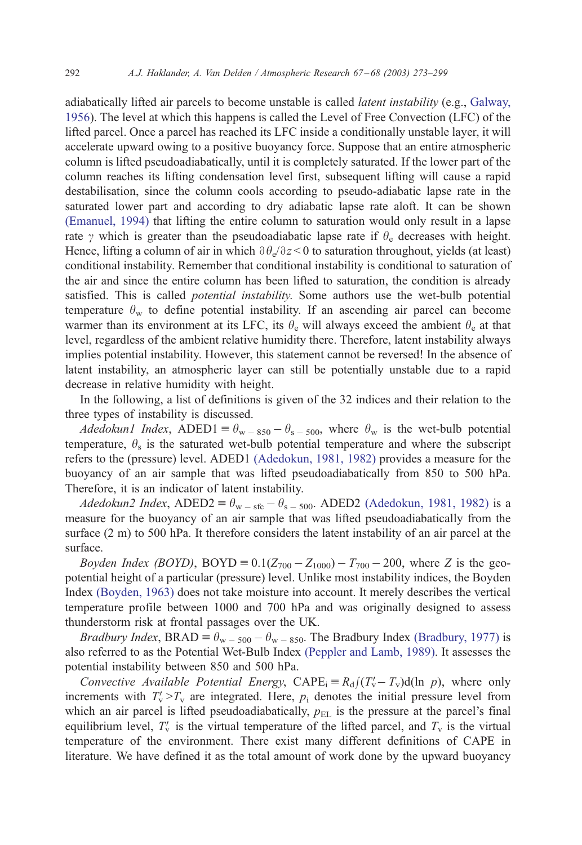adiabatically lifted air parcels to become unstable is called latent instability (e.g., [Galway,](#page-26-0) 1956). The level at which this happens is called the Level of Free Convection (LFC) of the lifted parcel. Once a parcel has reached its LFC inside a conditionally unstable layer, it will accelerate upward owing to a positive buoyancy force. Suppose that an entire atmospheric column is lifted pseudoadiabatically, until it is completely saturated. If the lower part of the column reaches its lifting condensation level first, subsequent lifting will cause a rapid destabilisation, since the column cools according to pseudo-adiabatic lapse rate in the saturated lower part and according to dry adiabatic lapse rate aloft. It can be shown [\(Emanuel, 1994\)](#page-26-0) that lifting the entire column to saturation would only result in a lapse rate  $\gamma$  which is greater than the pseudoadiabatic lapse rate if  $\theta_e$  decreases with height. Hence, lifting a column of air in which  $\partial \theta_e/\partial z < 0$  to saturation throughout, yields (at least) conditional instability. Remember that conditional instability is conditional to saturation of the air and since the entire column has been lifted to saturation, the condition is already satisfied. This is called potential instability. Some authors use the wet-bulb potential temperature  $\theta_w$  to define potential instability. If an ascending air parcel can become warmer than its environment at its LFC, its  $\theta_e$  will always exceed the ambient  $\theta_e$  at that level, regardless of the ambient relative humidity there. Therefore, latent instability always implies potential instability. However, this statement cannot be reversed! In the absence of latent instability, an atmospheric layer can still be potentially unstable due to a rapid decrease in relative humidity with height.

In the following, a list of definitions is given of the 32 indices and their relation to the three types of instability is discussed.

Adedokun1 Index, ADED1  $\equiv \theta_{\text{w} - 850} - \theta_{\text{s} - 500}$ , where  $\theta_{\text{w}}$  is the wet-bulb potential temperature,  $\theta_s$  is the saturated wet-bulb potential temperature and where the subscript refers to the (pressure) level. ADED1 [\(Adedokun, 1981, 1982\)](#page-25-0) provides a measure for the buoyancy of an air sample that was lifted pseudoadiabatically from 850 to 500 hPa. Therefore, it is an indicator of latent instability.

*Adedokun2 Index*, ADED2  $\equiv \theta_{\text{w}-\text{sfc}} - \theta_{\text{s}-\text{500}}$ . ADED2 [\(Adedokun, 1981, 1982\)](#page-25-0) is a measure for the buoyancy of an air sample that was lifted pseudoadiabatically from the surface (2 m) to 500 hPa. It therefore considers the latent instability of an air parcel at the surface.

Boyden Index (BOYD), BOYD =  $0.1(Z_{700} - Z_{1000}) - T_{700} - 200$ , where Z is the geopotential height of a particular (pressure) level. Unlike most instability indices, the Boyden Index [\(Boyden, 1963\)](#page-25-0) does not take moisture into account. It merely describes the vertical temperature profile between 1000 and 700 hPa and was originally designed to assess thunderstorm risk at frontal passages over the UK.

*Bradbury Index*, BRAD =  $\theta_{\text{w}}$  –  $_{500}$  –  $\theta_{\text{w}}$  –  $_{850}$ . The Bradbury Index [\(Bradbury, 1977\)](#page-25-0) is also referred to as the Potential Wet-Bulb Index [\(Peppler and Lamb, 1989\).](#page-26-0) It assesses the potential instability between 850 and 500 hPa.

Convective Available Potential Energy,  $\text{CAPE}_i \equiv R_d/(T_v' - T_v)d(\ln p)$ , where only increments with  $T_v' > T_v$  are integrated. Here,  $p_i$  denotes the initial pressure level from which an air parcel is lifted pseudoadiabatically,  $p_{EL}$  is the pressure at the parcel's final equilibrium level,  $T_v$  is the virtual temperature of the lifted parcel, and  $T_v$  is the virtual temperature of the environment. There exist many different definitions of CAPE in literature. We have defined it as the total amount of work done by the upward buoyancy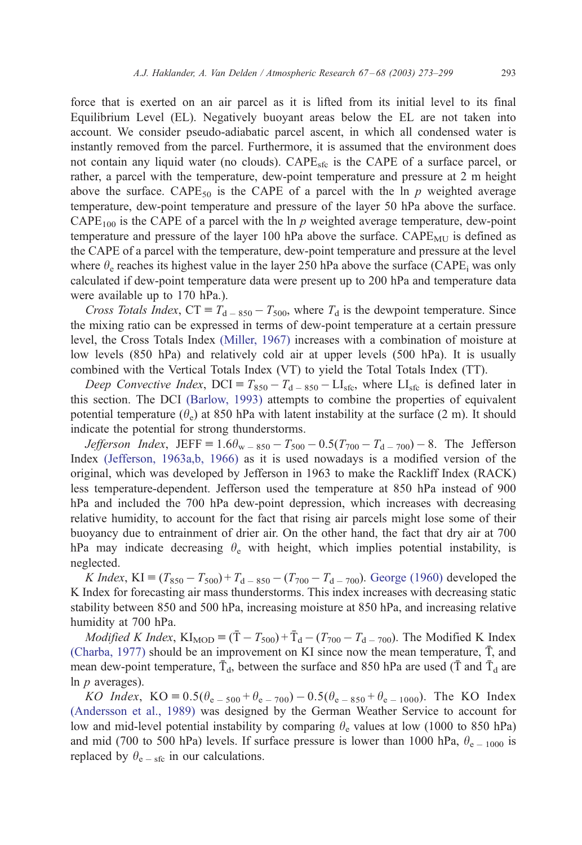force that is exerted on an air parcel as it is lifted from its initial level to its final Equilibrium Level (EL). Negatively buoyant areas below the EL are not taken into account. We consider pseudo-adiabatic parcel ascent, in which all condensed water is instantly removed from the parcel. Furthermore, it is assumed that the environment does not contain any liquid water (no clouds).  $CAPE_{\text{sfc}}$  is the CAPE of a surface parcel, or rather, a parcel with the temperature, dew-point temperature and pressure at 2 m height above the surface. CAPE<sub>50</sub> is the CAPE of a parcel with the ln  $p$  weighted average temperature, dew-point temperature and pressure of the layer 50 hPa above the surface.  $CAPE<sub>100</sub>$  is the CAPE of a parcel with the ln p weighted average temperature, dew-point temperature and pressure of the layer 100 hPa above the surface.  $CAPE_{MU}$  is defined as the CAPE of a parcel with the temperature, dew-point temperature and pressure at the level where  $\theta_e$  reaches its highest value in the layer 250 hPa above the surface (CAPE<sub>i</sub> was only calculated if dew-point temperature data were present up to 200 hPa and temperature data were available up to 170 hPa.).

Cross Totals Index,  $CT \equiv T_{d - 850} - T_{500}$ , where  $T_d$  is the dewpoint temperature. Since the mixing ratio can be expressed in terms of dew-point temperature at a certain pressure level, the Cross Totals Index [\(Miller, 1967\)](#page-26-0) increases with a combination of moisture at low levels (850 hPa) and relatively cold air at upper levels (500 hPa). It is usually combined with the Vertical Totals Index (VT) to yield the Total Totals Index (TT).

*Deep Convective Index*, DCI =  $T_{850} - T_{d - 850} - LI_{sf}$ , where  $LI_{sf}$  is defined later in this section. The DCI [\(Barlow, 1993\)](#page-25-0) attempts to combine the properties of equivalent potential temperature  $(\theta_e)$  at 850 hPa with latent instability at the surface (2 m). It should indicate the potential for strong thunderstorms.

*Jefferson Index*, JEFF =  $1.6\theta_{w} = 850 - T_{500} - 0.5(T_{700} - T_{d} = 700) - 8$ . The Jefferson Index [\(Jefferson, 1963a,b, 1966\)](#page-26-0) as it is used nowadays is a modified version of the original, which was developed by Jefferson in 1963 to make the Rackliff Index (RACK) less temperature-dependent. Jefferson used the temperature at 850 hPa instead of 900 hPa and included the 700 hPa dew-point depression, which increases with decreasing relative humidity, to account for the fact that rising air parcels might lose some of their buoyancy due to entrainment of drier air. On the other hand, the fact that dry air at 700 hPa may indicate decreasing  $\theta_e$  with height, which implies potential instability, is neglected.

K Index, KI =  $(T_{850} - T_{500}) + T_{d - 850} - (T_{700} - T_{d - 700})$ . [George \(1960\)](#page-26-0) developed the K Index for forecasting air mass thunderstorms. This index increases with decreasing static stability between 850 and 500 hPa, increasing moisture at 850 hPa, and increasing relative humidity at 700 hPa.

*Modified K Index*,  $\text{KI}_{\text{MOD}} \equiv (\overline{T} - T_{500}) + \overline{T}_{d} - (T_{700} - T_{d} - T_{00})$ . The Modified K Index [\(Charba, 1977\)](#page-25-0) should be an improvement on KI since now the mean temperature,  $\overline{T}$ , and mean dew-point temperature,  $\bar{T}_{d}$ , between the surface and 850 hPa are used (T and  $\bar{T}_{d}$  are In  $p$  averages).

KO Index, KO =  $0.5(\theta_{e} - 500 + \theta_{e} - 700) - 0.5(\theta_{e} - 850 + \theta_{e} - 1000)$ . The KO Index [\(Andersson et al., 1989\)](#page-25-0) was designed by the German Weather Service to account for low and mid-level potential instability by comparing  $\theta_e$  values at low (1000 to 850 hPa) and mid (700 to 500 hPa) levels. If surface pressure is lower than 1000 hPa,  $\theta_{\rm e-1000}$  is replaced by  $\theta_{e - sfc}$  in our calculations.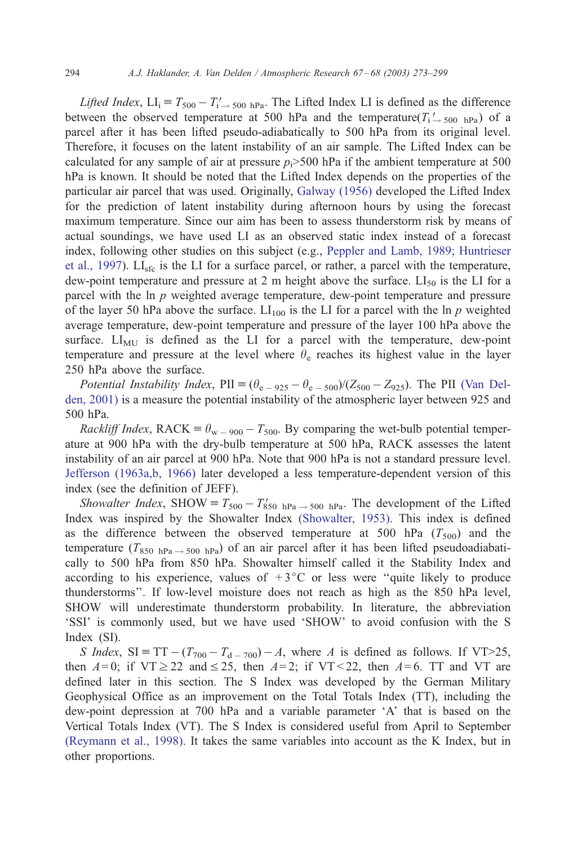*Lifted Index*,  $LI_i \equiv T_{500} - T'_{i \to 500 \text{ hPa}}$ . The Lifted Index LI is defined as the difference between the observed temperature at 500 hPa and the temperature( $T_1 \rightarrow 500$  hPa) of a parcel after it has been lifted pseudo-adiabatically to 500 hPa from its original level. Therefore, it focuses on the latent instability of an air sample. The Lifted Index can be calculated for any sample of air at pressure  $p_i$  > 500 hPa if the ambient temperature at 500 hPa is known. It should be noted that the Lifted Index depends on the properties of the particular air parcel that was used. Originally, [Galway \(1956\)](#page-26-0) developed the Lifted Index for the prediction of latent instability during afternoon hours by using the forecast maximum temperature. Since our aim has been to assess thunderstorm risk by means of actual soundings, we have used LI as an observed static index instead of a forecast index, following other studies on this subject (e.g., [Peppler and Lamb, 1989; Huntrieser](#page-26-0) et al., 1997).  $LI_{\rm sfc}$  is the LI for a surface parcel, or rather, a parcel with the temperature, dew-point temperature and pressure at 2 m height above the surface.  $LI_{50}$  is the LI for a parcel with the ln p weighted average temperature, dew-point temperature and pressure of the layer 50 hPa above the surface.  $LI_{100}$  is the LI for a parcel with the ln p weighted average temperature, dew-point temperature and pressure of the layer 100 hPa above the surface.  $LI_{\text{MU}}$  is defined as the LI for a parcel with the temperature, dew-point temperature and pressure at the level where  $\theta_e$  reaches its highest value in the layer 250 hPa above the surface.

Potential Instability Index,  $PII = (\theta_{e-925} - \theta_{e-500})/(Z_{500} - Z_{925})$ . The PII [\(Van Del](#page-26-0)den, 2001) is a measure the potential instability of the atmospheric layer between 925 and 500 hPa.

*Rackliff Index*, RACK  $\equiv \theta_{\text{w}}$  –  $\theta_{900}$  –  $T_{500}$ . By comparing the wet-bulb potential temperature at 900 hPa with the dry-bulb temperature at 500 hPa, RACK assesses the latent instability of an air parcel at 900 hPa. Note that 900 hPa is not a standard pressure level. [Jefferson \(1963a,b, 1966\)](#page-26-0) later developed a less temperature-dependent version of this index (see the definition of JEFF).

*Showalter Index*, SHOW =  $T_{500} - T'_{850}$  <sub>hPa</sub>  $\rightarrow$  500 <sub>hPa</sub>. The development of the Lifted Index was inspired by the Showalter Index [\(Showalter, 1953\).](#page-26-0) This index is defined as the difference between the observed temperature at 500 hPa  $(T_{500})$  and the temperature ( $T_{850 \text{ hPa} \rightarrow 500 \text{ hPa}}$ ) of an air parcel after it has been lifted pseudoadiabatically to 500 hPa from 850 hPa. Showalter himself called it the Stability Index and according to his experience, values of  $+3\degree C$  or less were "quite likely to produce thunderstorms''. If low-level moisture does not reach as high as the 850 hPa level, SHOW will underestimate thunderstorm probability. In literature, the abbreviation 'SSI' is commonly used, but we have used 'SHOW' to avoid confusion with the S Index (SI).

S Index,  $SI = TT - (T_{700} - T_{d} - 700) - A$ , where A is defined as follows. If VT>25, then  $A=0$ ; if  $VT \ge 22$  and  $\le 25$ , then  $A=2$ ; if  $VT < 22$ , then  $A=6$ . TT and VT are defined later in this section. The S Index was developed by the German Military Geophysical Office as an improvement on the Total Totals Index (TT), including the dew-point depression at 700 hPa and a variable parameter 'A' that is based on the Vertical Totals Index (VT). The S Index is considered useful from April to September [\(Reymann et al., 1998\).](#page-26-0) It takes the same variables into account as the K Index, but in other proportions.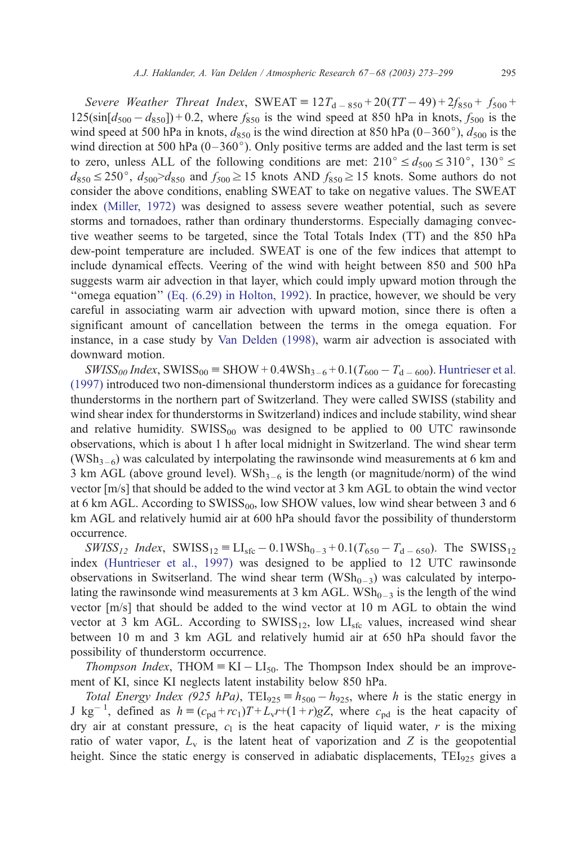Severe Weather Threat Index, SWEAT =  $12T_{d-850} + 20(TT - 49) + 2f_{850} + f_{500} +$  $125(\sin[d_{500} - d_{850}]) + 0.2$ , where  $f_{850}$  is the wind speed at 850 hPa in knots,  $f_{500}$  is the wind speed at 500 hPa in knots,  $d_{850}$  is the wind direction at 850 hPa (0–360°),  $d_{500}$  is the wind direction at 500 hPa  $(0-360^{\circ})$ . Only positive terms are added and the last term is set to zero, unless ALL of the following conditions are met:  $210^{\circ} \leq d_{500} \leq 310^{\circ}$ ,  $130^{\circ} \leq$  $d_{850} \leq 250^{\circ}$ ,  $d_{500} > d_{850}$  and  $f_{500} \geq 15$  knots AND  $f_{850} \geq 15$  knots. Some authors do not consider the above conditions, enabling SWEAT to take on negative values. The SWEAT index [\(Miller, 1972\)](#page-26-0) was designed to assess severe weather potential, such as severe storms and tornadoes, rather than ordinary thunderstorms. Especially damaging convective weather seems to be targeted, since the Total Totals Index (TT) and the 850 hPa dew-point temperature are included. SWEAT is one of the few indices that attempt to include dynamical effects. Veering of the wind with height between 850 and 500 hPa suggests warm air advection in that layer, which could imply upward motion through the ''omega equation'' [\(Eq. \(6.29\) in Holton, 1992\).](#page-26-0) In practice, however, we should be very careful in associating warm air advection with upward motion, since there is often a significant amount of cancellation between the terms in the omega equation. For instance, in a case study by [Van Delden \(1998\),](#page-26-0) warm air advection is associated with downward motion.

 $SWISS_{00}$  Index, SWISS<sub>00</sub> = SHOW + 0.4WSh<sub>3–6</sub> + 0.1( $T_{600} - T_{d - 600}$ ). [Huntrieser et al.](#page-26-0) (1997) introduced two non-dimensional thunderstorm indices as a guidance for forecasting thunderstorms in the northern part of Switzerland. They were called SWISS (stability and wind shear index for thunderstorms in Switzerland) indices and include stability, wind shear and relative humidity.  $SWISS<sub>00</sub>$  was designed to be applied to 00 UTC rawinsonde observations, which is about 1 h after local midnight in Switzerland. The wind shear term  $(WSh_{3-6})$  was calculated by interpolating the rawinsonde wind measurements at 6 km and 3 km AGL (above ground level). WSh<sub>3–6</sub> is the length (or magnitude/norm) of the wind vector [m/s] that should be added to the wind vector at 3 km AGL to obtain the wind vector at 6 km AGL. According to  $SWISS<sub>00</sub>$ , low SHOW values, low wind shear between 3 and 6 km AGL and relatively humid air at 600 hPa should favor the possibility of thunderstorm occurrence.

 $SWISS_{12}$  Index,  $SWISS_{12} = LI_{sfc} - 0.1WSh_{0-3} + 0.1(T_{650} - T_{d-650})$ . The SWISS<sub>12</sub> index [\(Huntrieser et al., 1997\)](#page-26-0) was designed to be applied to 12 UTC rawinsonde observations in Switserland. The wind shear term  $(WSh_{0-3})$  was calculated by interpolating the rawinsonde wind measurements at 3 km AGL.  $WSh_{0-3}$  is the length of the wind vector [m/s] that should be added to the wind vector at 10 m AGL to obtain the wind vector at 3 km AGL. According to  $SWISS<sub>12</sub>$ , low  $LI<sub>sfe</sub>$  values, increased wind shear between 10 m and 3 km AGL and relatively humid air at 650 hPa should favor the possibility of thunderstorm occurrence.

*Thompson Index*, THOM  $\equiv$  KI  $-$  LI<sub>50</sub>. The Thompson Index should be an improvement of KI, since KI neglects latent instability below 850 hPa.

Total Energy Index (925 hPa), TEI<sub>925</sub> =  $h_{500} - h_{925}$ , where h is the static energy in J kg<sup>-1</sup>, defined as  $h = (c_{pd} + rc_1)T + L_vr+(1+r)gZ$ , where  $c_{pd}$  is the heat capacity of dry air at constant pressure,  $c_1$  is the heat capacity of liquid water, r is the mixing ratio of water vapor,  $L_v$  is the latent heat of vaporization and Z is the geopotential height. Since the static energy is conserved in adiabatic displacements,  $TEI_{925}$  gives a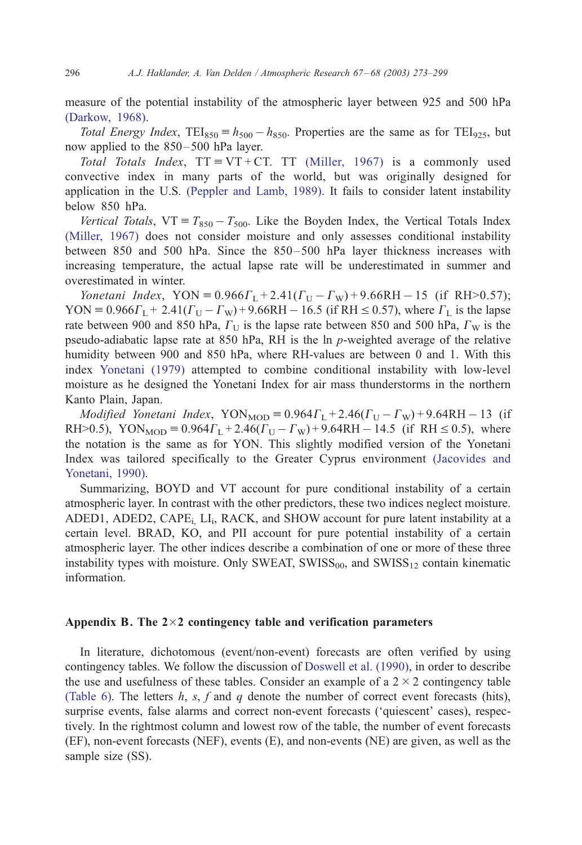measure of the potential instability of the atmospheric layer between 925 and 500 hPa [\(Darkow, 1968\).](#page-26-0)

Total Energy Index,  $TEI_{850} = h_{500} - h_{850}$ . Properties are the same as for  $TEI_{925}$ , but now applied to the 850–500 hPa layer.

Total Totals Index,  $TT = VT + CT$ . TT [\(Miller, 1967\)](#page-26-0) is a commonly used convective index in many parts of the world, but was originally designed for application in the U.S. [\(Peppler and Lamb, 1989\).](#page-26-0) It fails to consider latent instability below 850 hPa.

Vertical Totals,  $VT = T_{850} - T_{500}$ . Like the Boyden Index, the Vertical Totals Index [\(Miller, 1967\)](#page-26-0) does not consider moisture and only assesses conditional instability between 850 and 500 hPa. Since the 850 – 500 hPa layer thickness increases with increasing temperature, the actual lapse rate will be underestimated in summer and overestimated in winter.

Yonetani Index, YON  $\equiv 0.966\Gamma_L + 2.41(\Gamma_U - \Gamma_W) + 9.66RH - 15$  (if RH>0.57); YON =  $0.966\Gamma_L$  + 2.41( $\Gamma_U$  –  $\Gamma_W$ ) + 9.66RH – 16.5 (if RH  $\leq$  0.57), where  $\Gamma_L$  is the lapse rate between 900 and 850 hPa,  $\Gamma_{\text{U}}$  is the lapse rate between 850 and 500 hPa,  $\Gamma_{\text{W}}$  is the pseudo-adiabatic lapse rate at 850 hPa, RH is the  $\ln p$ -weighted average of the relative humidity between 900 and 850 hPa, where RH-values are between 0 and 1. With this index [Yonetani \(1979\)](#page-26-0) attempted to combine conditional instability with low-level moisture as he designed the Yonetani Index for air mass thunderstorms in the northern Kanto Plain, Japan.

Modified Yonetani Index,  $YON_{\text{MOD}} = 0.964\Gamma_L + 2.46(\Gamma_U - \Gamma_W) + 9.64RH - 13$  (if RH>0.5), YON<sub>MOD</sub> =  $0.964\Gamma_L + 2.46(\Gamma_U - \Gamma_W) + 9.64RH - 14.5$  (if RH ≤ 0.5), where the notation is the same as for YON. This slightly modified version of the Yonetani Index was tailored specifically to the Greater Cyprus environment [\(Jacovides and](#page-26-0) Yonetani, 1990).

Summarizing, BOYD and VT account for pure conditional instability of a certain atmospheric layer. In contrast with the other predictors, these two indices neglect moisture. ADED1, ADED2,  $CAPE_i$ ,  $LI_i$ , RACK, and SHOW account for pure latent instability at a certain level. BRAD, KO, and PII account for pure potential instability of a certain atmospheric layer. The other indices describe a combination of one or more of these three instability types with moisture. Only SWEAT,  $SWISS<sub>00</sub>$ , and  $SWISS<sub>12</sub>$  contain kinematic information.

#### Appendix B. The  $2\times 2$  contingency table and verification parameters

In literature, dichotomous (event/non-event) forecasts are often verified by using contingency tables. We follow the discussion of [Doswell et al. \(1990\),](#page-26-0) in order to describe the use and usefulness of these tables. Consider an example of a  $2 \times 2$  contingency table [\(Table 6\).](#page-24-0) The letters  $h$ ,  $s$ ,  $f$  and  $q$  denote the number of correct event forecasts (hits), surprise events, false alarms and correct non-event forecasts ('quiescent' cases), respectively. In the rightmost column and lowest row of the table, the number of event forecasts (EF), non-event forecasts (NEF), events (E), and non-events (NE) are given, as well as the sample size (SS).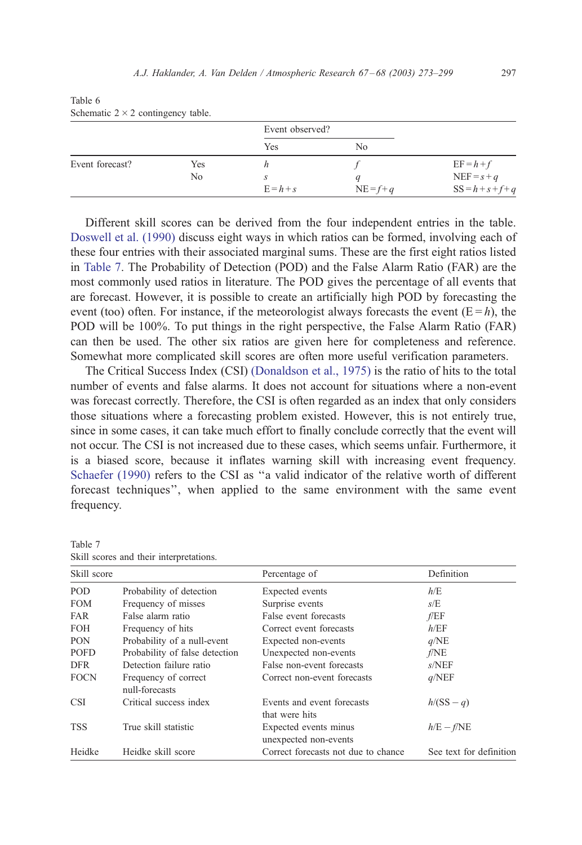| Table 6                                   |                 |  |
|-------------------------------------------|-----------------|--|
| Schematic $2 \times 2$ contingency table. |                 |  |
|                                           | Event observed? |  |

|                 |                | Event observed? |              |                      |
|-----------------|----------------|-----------------|--------------|----------------------|
|                 |                | Yes             | No           |                      |
| Event forecast? | Yes            |                 |              | $EF = h + f$         |
|                 | N <sub>0</sub> | S               |              | $NEF = s + q$        |
|                 |                | $E = h + s$     | $NE = f + q$ | $SS = h + s + f + q$ |

Different skill scores can be derived from the four independent entries in the table. [Doswell et al. \(1990\)](#page-26-0) discuss eight ways in which ratios can be formed, involving each of these four entries with their associated marginal sums. These are the first eight ratios listed in Table 7. The Probability of Detection (POD) and the False Alarm Ratio (FAR) are the most commonly used ratios in literature. The POD gives the percentage of all events that are forecast. However, it is possible to create an artificially high POD by forecasting the event (too) often. For instance, if the meteorologist always forecasts the event  $(E = h)$ , the POD will be 100%. To put things in the right perspective, the False Alarm Ratio (FAR) can then be used. The other six ratios are given here for completeness and reference. Somewhat more complicated skill scores are often more useful verification parameters.

The Critical Success Index (CSI) [\(Donaldson et al., 1975\)](#page-26-0) is the ratio of hits to the total number of events and false alarms. It does not account for situations where a non-event was forecast correctly. Therefore, the CSI is often regarded as an index that only considers those situations where a forecasting problem existed. However, this is not entirely true, since in some cases, it can take much effort to finally conclude correctly that the event will not occur. The CSI is not increased due to these cases, which seems unfair. Furthermore, it is a biased score, because it inflates warning skill with increasing event frequency. [Schaefer \(1990\)](#page-26-0) refers to the CSI as ''a valid indicator of the relative worth of different forecast techniques'', when applied to the same environment with the same event frequency.

Table 7 Skill scores and their interpretations.

<span id="page-24-0"></span>Table 6

|             | onin bebieb and men meerpreadcomp.     |                                                |                         |  |
|-------------|----------------------------------------|------------------------------------------------|-------------------------|--|
| Skill score |                                        | Percentage of                                  | Definition              |  |
| <b>POD</b>  | Probability of detection               | Expected events                                | h/E                     |  |
| <b>FOM</b>  | Frequency of misses                    | Surprise events                                | s/E                     |  |
| FAR         | False alarm ratio                      | False event forecasts                          | f/EF                    |  |
| <b>FOH</b>  | Frequency of hits                      | Correct event forecasts                        | h/EF                    |  |
| PON         | Probability of a null-event            | Expected non-events                            | q/NE                    |  |
| <b>POFD</b> | Probability of false detection         | Unexpected non-events                          | f/NE                    |  |
| <b>DFR</b>  | Detection failure ratio                | False non-event forecasts                      | s/NEF                   |  |
| <b>FOCN</b> | Frequency of correct<br>null-forecasts | Correct non-event forecasts                    | q/NEF                   |  |
| <b>CSI</b>  | Critical success index                 | Events and event forecasts<br>that were hits   | $h/(SS - q)$            |  |
| <b>TSS</b>  | True skill statistic                   | Expected events minus<br>unexpected non-events | $h/E - f/NE$            |  |
| Heidke      | Heidke skill score                     | Correct forecasts not due to chance            | See text for definition |  |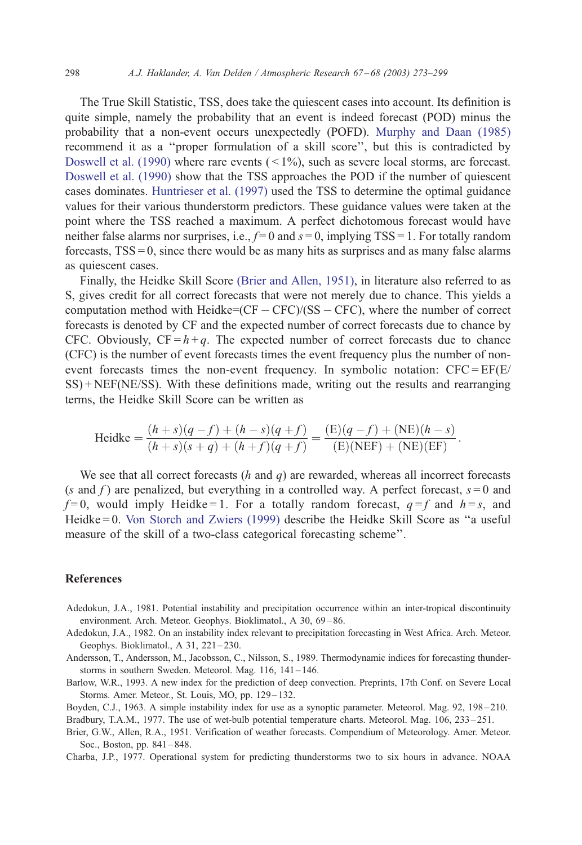<span id="page-25-0"></span>The True Skill Statistic, TSS, does take the quiescent cases into account. Its definition is quite simple, namely the probability that an event is indeed forecast (POD) minus the probability that a non-event occurs unexpectedly (POFD). [Murphy and Daan \(1985\)](#page-26-0) recommend it as a ''proper formulation of a skill score'', but this is contradicted by Doswell et al.  $(1990)$  where rare events  $($  <  $1\%)$ , such as severe local storms, are forecast. [Doswell et al. \(1990\)](#page-26-0) show that the TSS approaches the POD if the number of quiescent cases dominates. [Huntrieser et al. \(1997\)](#page-26-0) used the TSS to determine the optimal guidance values for their various thunderstorm predictors. These guidance values were taken at the point where the TSS reached a maximum. A perfect dichotomous forecast would have neither false alarms nor surprises, i.e.,  $f=0$  and  $s=0$ , implying TSS = 1. For totally random forecasts,  $TSS = 0$ , since there would be as many hits as surprises and as many false alarms as quiescent cases.

Finally, the Heidke Skill Score (Brier and Allen, 1951), in literature also referred to as S, gives credit for all correct forecasts that were not merely due to chance. This yields a computation method with Heidke=( $CF - CFC$ )/(SS  $- CFC$ ), where the number of correct forecasts is denoted by CF and the expected number of correct forecasts due to chance by CFC. Obviously,  $CF = h + q$ . The expected number of correct forecasts due to chance (CFC) is the number of event forecasts times the event frequency plus the number of nonevent forecasts times the non-event frequency. In symbolic notation:  $CFC = EF(E/$ SS) + NEF(NE/SS). With these definitions made, writing out the results and rearranging terms, the Heidke Skill Score can be written as

Heidke = 
$$
\frac{(h+s)(q-f) + (h-s)(q+f)}{(h+s)(s+q) + (h+f)(q+f)} = \frac{(E)(q-f) + (NE)(h-s)}{(E)(NEF) + (NE)(EF)}.
$$

We see that all correct forecasts  $(h \text{ and } q)$  are rewarded, whereas all incorrect forecasts (s and f) are penalized, but everything in a controlled way. A perfect forecast,  $s = 0$  and  $f=0$ , would imply Heidke = 1. For a totally random forecast,  $q=f$  and  $h=s$ , and Heidke = 0. [Von Storch and Zwiers \(1999\)](#page-26-0) describe the Heidke Skill Score as ''a useful measure of the skill of a two-class categorical forecasting scheme''.

#### References

- Adedokun, J.A., 1981. Potential instability and precipitation occurrence within an inter-tropical discontinuity environment. Arch. Meteor. Geophys. Bioklimatol., A 30, 69-86.
- Adedokun, J.A., 1982. On an instability index relevant to precipitation forecasting in West Africa. Arch. Meteor. Geophys. Bioklimatol., A 31, 221 – 230.
- Andersson, T., Andersson, M., Jacobsson, C., Nilsson, S., 1989. Thermodynamic indices for forecasting thunderstorms in southern Sweden. Meteorol. Mag. 116, 141-146.
- Barlow, W.R., 1993. A new index for the prediction of deep convection. Preprints, 17th Conf. on Severe Local Storms. Amer. Meteor., St. Louis, MO, pp. 129–132.
- Boyden, C.J., 1963. A simple instability index for use as a synoptic parameter. Meteorol. Mag. 92, 198-210.

Bradbury, T.A.M., 1977. The use of wet-bulb potential temperature charts. Meteorol. Mag. 106, 233–251.

Brier, G.W., Allen, R.A., 1951. Verification of weather forecasts. Compendium of Meteorology. Amer. Meteor. Soc., Boston, pp. 841-848.

Charba, J.P., 1977. Operational system for predicting thunderstorms two to six hours in advance. NOAA